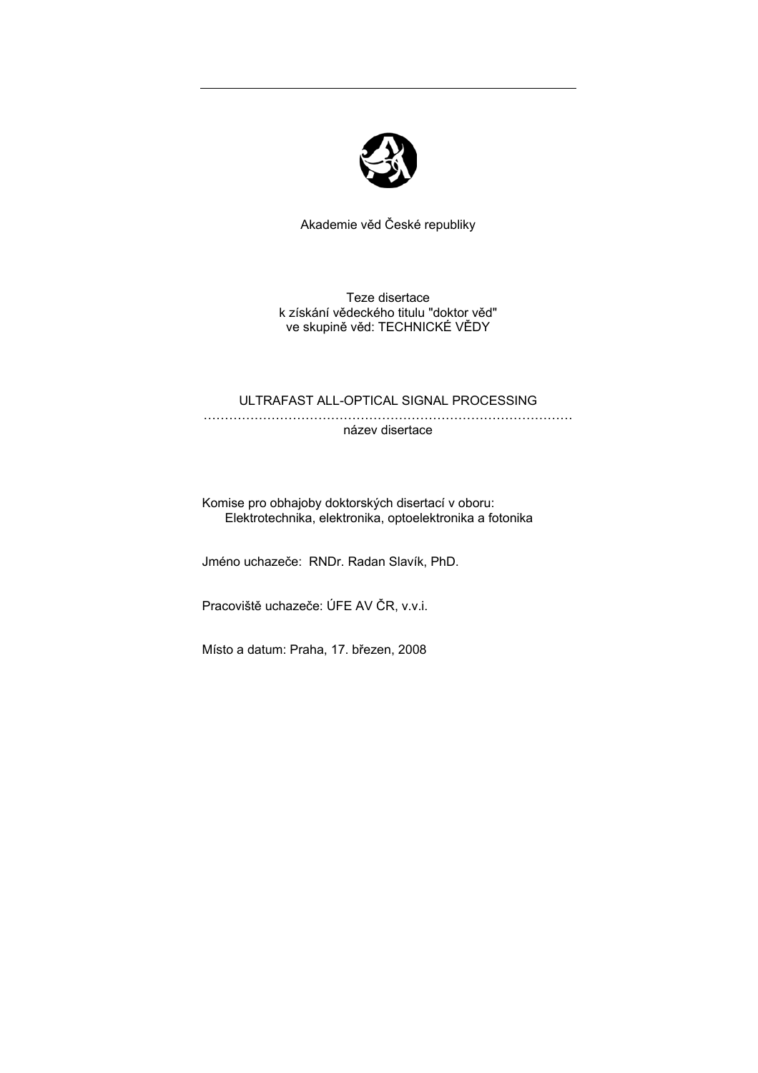

Akademie věd České republiky

Teze disertace k získání vědeckého titulu "doktor věd" ve skupině věd: TECHNICKÉ VĚDY

## ULTRAFAST ALL-OPTICAL SIGNAL PROCESSING

……………………………………………………………………………

název disertace

Komise pro obhajoby doktorských disertací v oboru: Elektrotechnika, elektronika, optoelektronika a fotonika

Jméno uchazeče: RNDr. Radan Slavík, PhD.

Pracoviště uchazeče: ÚFE AV ČR, v.v.i.

Místo a datum: Praha, 17. březen, 2008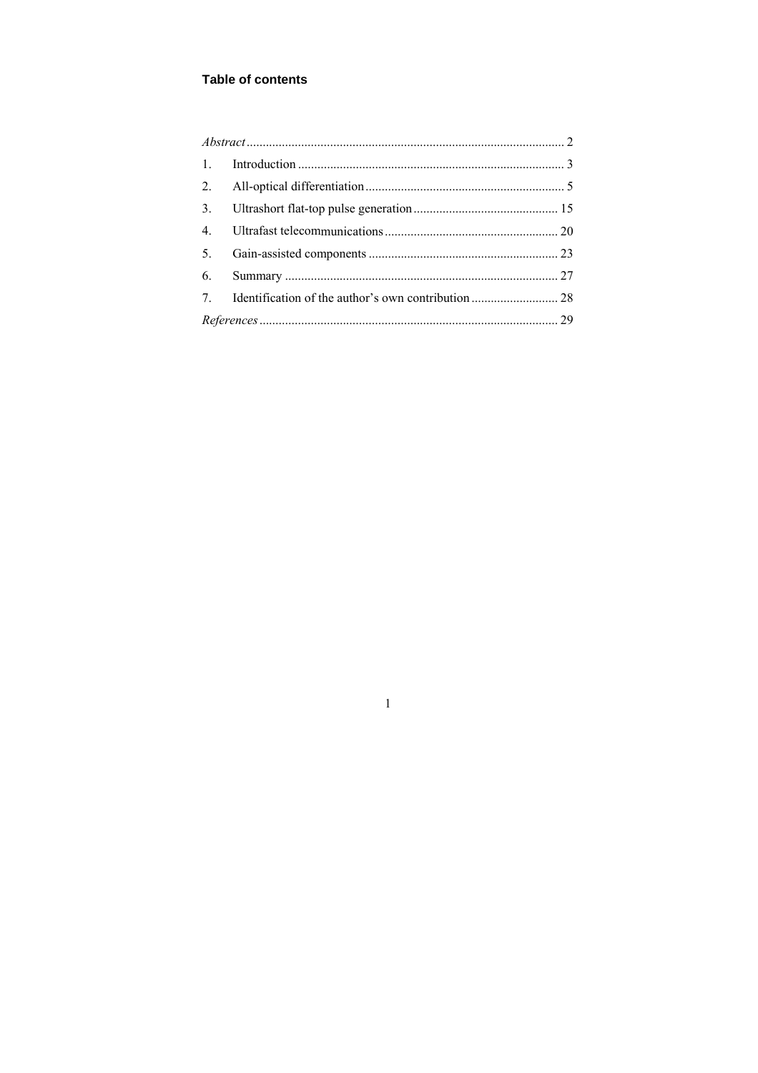# **Table of contents**

| $\mathbf{1}$ . |  |  |
|----------------|--|--|
| 2.             |  |  |
| 3.             |  |  |
| 4.             |  |  |
| 5.             |  |  |
| 6.             |  |  |
| 7 <sub>1</sub> |  |  |
|                |  |  |
|                |  |  |

 $\,1\,$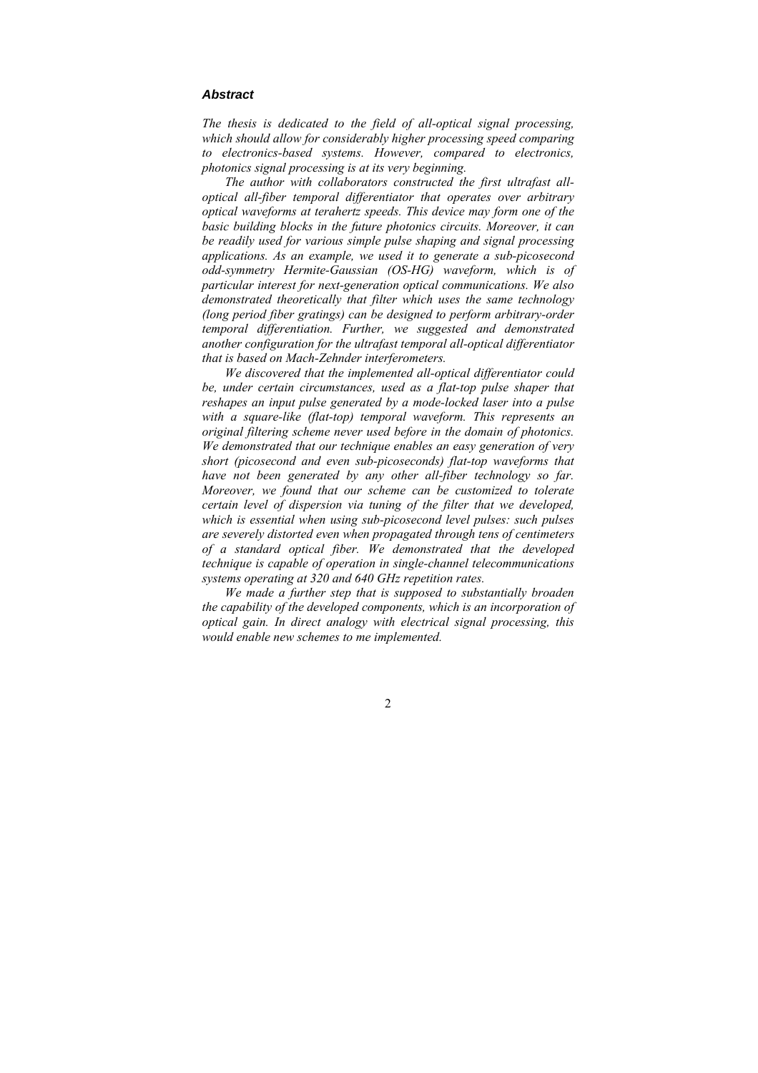#### <span id="page-2-0"></span>*Abstract*

*The thesis is dedicated to the field of all-optical signal processing, which should allow for considerably higher processing speed comparing to electronics-based systems. However, compared to electronics, photonics signal processing is at its very beginning.* 

*The author with collaborators constructed the first ultrafast alloptical all-fiber temporal differentiator that operates over arbitrary optical waveforms at terahertz speeds. This device may form one of the basic building blocks in the future photonics circuits. Moreover, it can be readily used for various simple pulse shaping and signal processing applications. As an example, we used it to generate a sub-picosecond odd-symmetry Hermite-Gaussian (OS-HG) waveform, which is of particular interest for next-generation optical communications. We also demonstrated theoretically that filter which uses the same technology (long period fiber gratings) can be designed to perform arbitrary-order temporal differentiation. Further, we suggested and demonstrated another configuration for the ultrafast temporal all-optical differentiator that is based on Mach-Zehnder interferometers.* 

<span id="page-2-1"></span>*We discovered that the implemented all-optical differentiator could be, under certain circumstances, used as a flat-top pulse shaper that reshapes an input pulse generated by a mode-locked laser into a pulse with a square-like (flat-top) temporal waveform. This represents an original filtering scheme never used before in the domain of photonics. We demonstrated that our technique enables an easy generation of very short (picosecond and even sub-picoseconds) flat-top waveforms that have not been generated by any other all-fiber technology so far. Moreover, we found that our scheme can be customized to tolerate certain level of dispersion via tuning of the filter that we developed, which is essential when using sub-picosecond level pulses: such pulses are severely distorted even when propagated through tens of centimeters of a standard optical fiber. We demonstrated that the developed technique is capable of operation in single-channel telecommunications systems operating at 320 and 640 GHz repetition rates.* 

*We made a further step that is supposed to substantially broaden the capability of the developed components, which is an incorporation of optical gain. In direct analogy with electrical signal processing, this would enable new schemes to me implemented.*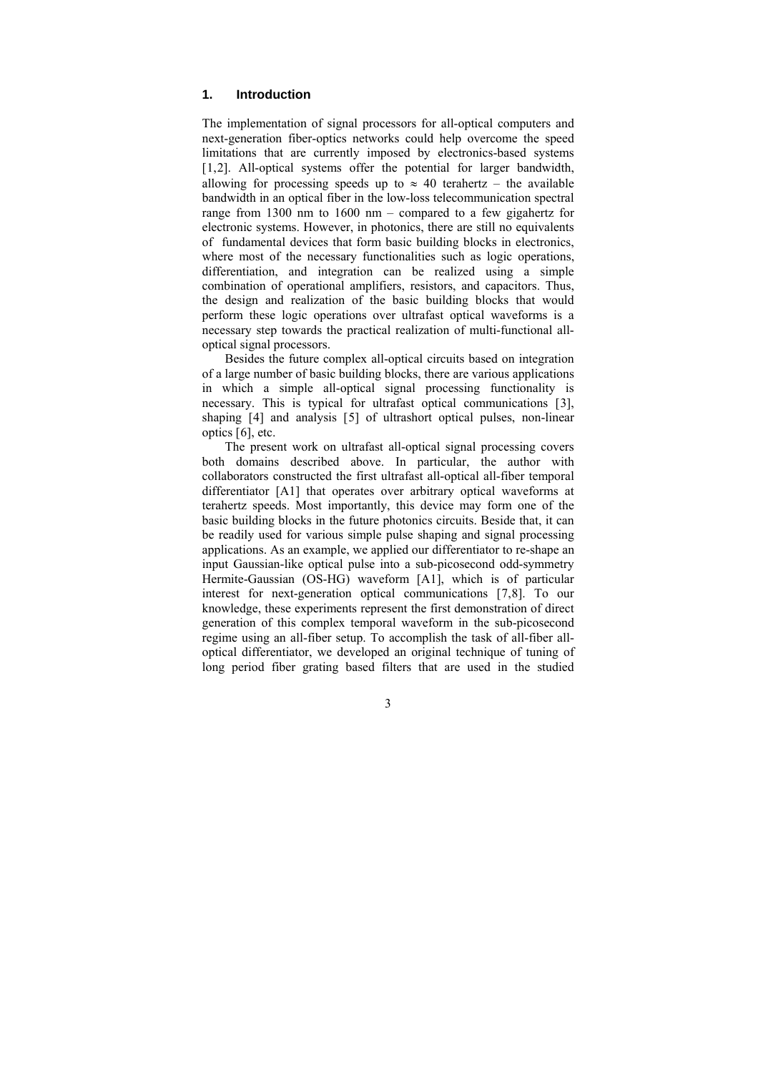#### <span id="page-3-0"></span>**1. Introduction**

The implementation of signal processors for all-optical computers and next-generation fiber-optics networks could help overcome the speed limitations that are currently imposed by electronics-based systems [[1,](#page-6-0)[2\]](#page-6-1). All-optical systems offer the potential for larger bandwidth, allowing for processing speeds up to  $\approx$  40 terahertz – the available bandwidth in an optical fiber in the low-loss telecommunication spectral range from 1300 nm to 1600 nm – compared to a few gigahertz for electronic systems. However, in photonics, there are still no equivalents of fundamental devices that form basic building blocks in electronics, where most of the necessary functionalities such as logic operations, differentiation, and integration can be realized using a simple combination of operational amplifiers, resistors, and capacitors. Thus, the design and realization of the basic building blocks that would perform these logic operations over ultrafast optical waveforms is a necessary step towards the practical realization of multi-functional alloptical signal processors.

Besides the future complex all-optical circuits based on integration of a large number of basic building blocks, there are various applications in which a simple all-optical signal processing functionality is necessary. This is typical for ultrafast optical communications [[3\]](#page-6-1), shaping [[4\]](#page-6-1) and analysis [[5\]](#page-6-1) of ultrashort optical pulses, non-linear optics [[6\]](#page-6-1), etc.

<span id="page-3-1"></span>The present work on ultrafast all-optical signal processing covers both domains described above. In particular, the author with collaborators constructed the first ultrafast all-optical all-fiber temporal differentiator [A1] that operates over arbitrary optical waveforms at terahertz speeds. Most importantly, this device may form one of the basic building blocks in the future photonics circuits. Beside that, it can be readily used for various simple pulse shaping and signal processing applications. As an example, we applied our differentiator to re-shape an input Gaussian-like optical pulse into a sub-picosecond odd-symmetry Hermite-Gaussian (OS-HG) waveform [A1], which is of particular interest for next-generation optical communications [[7,8\]](#page-6-1). To our knowledge, these experiments represent the first demonstration of direct generation of this complex temporal waveform in the sub-picosecond regime using an all-fiber setup. To accomplish the task of all-fiber alloptical differentiator, we developed an original technique of tuning of long period fiber grating based filters that are used in the studied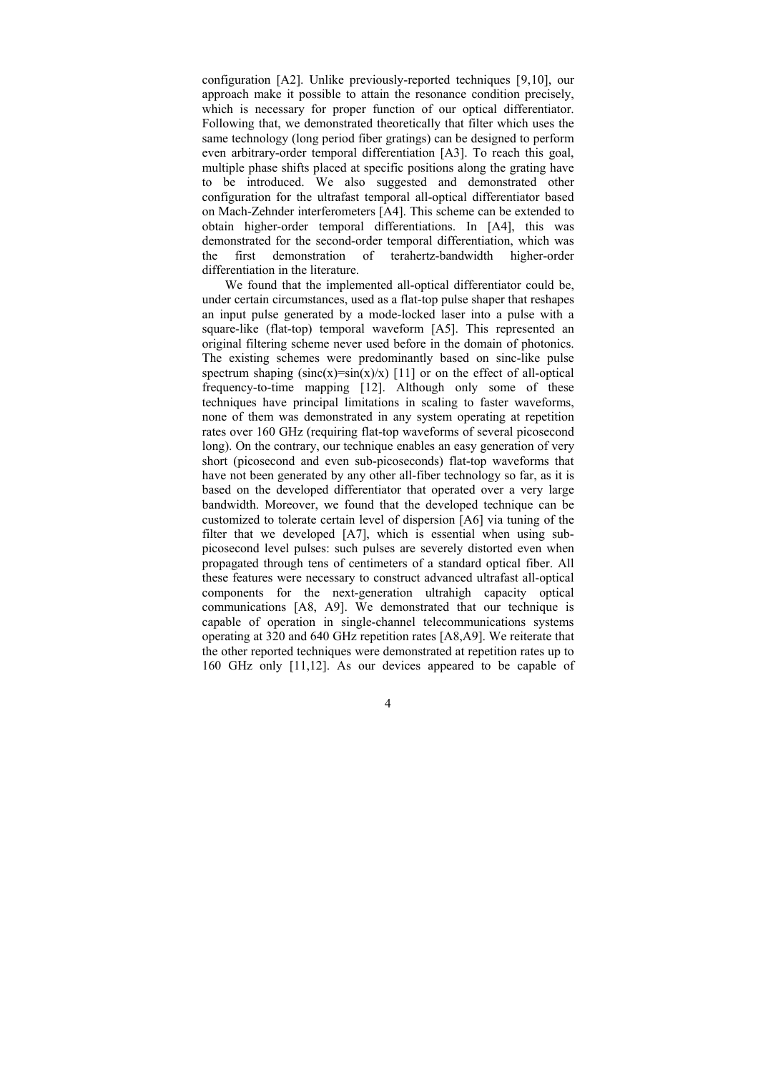configuration [A2]. Unlike previously-reported techniques [[9,10\]](#page-6-1), our approach make it possible to attain the resonance condition precisely, which is necessary for proper function of our optical differentiator. Following that, we demonstrated theoretically that filter which uses the same technology (long period fiber gratings) can be designed to perform even arbitrary-order temporal differentiation [A3]. To reach this goal, multiple phase shifts placed at specific positions along the grating have to be introduced. We also suggested and demonstrated other configuration for the ultrafast temporal all-optical differentiator based on Mach-Zehnder interferometers [A4]. This scheme can be extended to obtain higher-order temporal differentiations. In [A4], this was demonstrated for the second-order temporal differentiation, which was the first demonstration of terahertz-bandwidth higher-order differentiation in the literature.

<span id="page-4-1"></span><span id="page-4-0"></span>We found that the implemented all-optical differentiator could be, under certain circumstances, used as a flat-top pulse shaper that reshapes an input pulse generated by a mode-locked laser into a pulse with a square-like (flat-top) temporal waveform [A5]. This represented an original filtering scheme never used before in the domain of photonics. The existing schemes were predominantly based on sinc-like pulse spectrum shaping  $(sinc(x)=sin(x)/x)$  [[11\]](#page-6-1) or on the effect of all-optical frequency-to-time mapping [[12](#page-7-0)]. Although only some of these techniques have principal limitations in scaling to faster waveforms, none of them was demonstrated in any system operating at repetition rates over 160 GHz (requiring flat-top waveforms of several picosecond long). On the contrary, our technique enables an easy generation of very short (picosecond and even sub-picoseconds) flat-top waveforms that have not been generated by any other all-fiber technology so far, as it is based on the developed differentiator that operated over a very large bandwidth. Moreover, we found that the developed technique can be customized to tolerate certain level of dispersion [A6] via tuning of the filter that we developed [A7], which is essential when using subpicosecond level pulses: such pulses are severely distorted even when propagated through tens of centimeters of a standard optical fiber. All these features were necessary to construct advanced ultrafast all-optical components for the next-generation ultrahigh capacity optical communications [A8, A9]. We demonstrated that our technique is capable of operation in single-channel telecommunications systems operating at 320 and 640 GHz repetition rates [A8,A9]. We reiterate that the other reported techniques were demonstrated at repetition rates up to 160 GHz only [[11,](#page-4-0)[12](#page-4-1)]. As our devices appeared to be capable of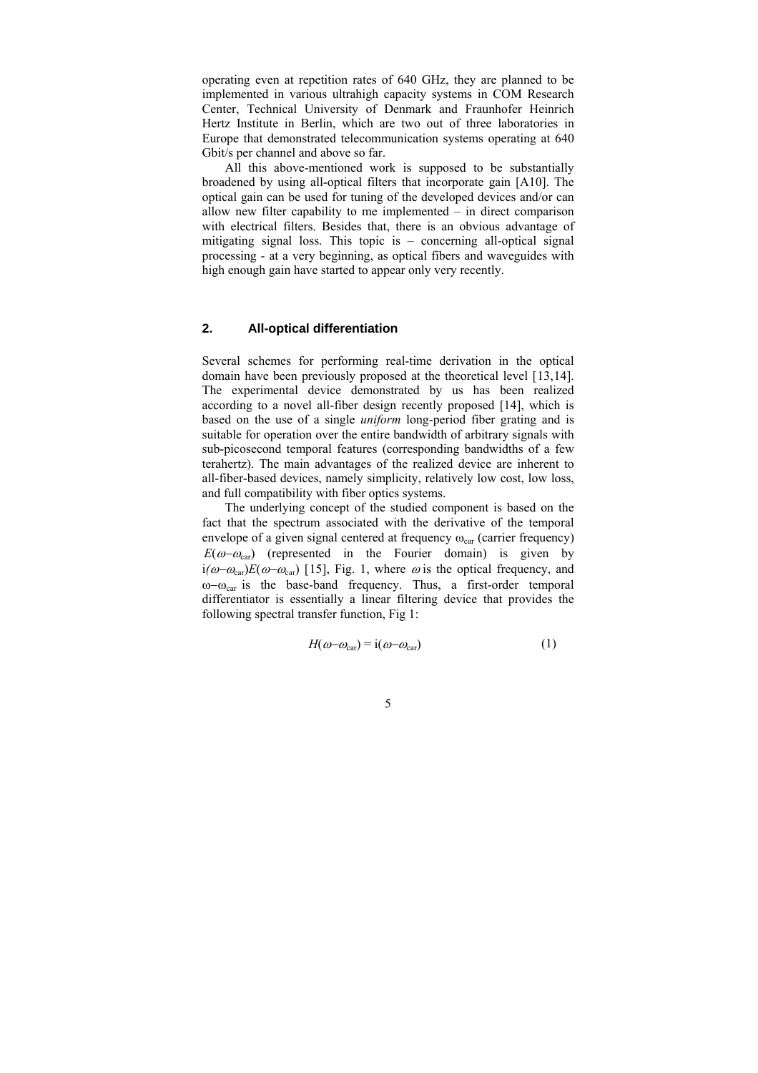<span id="page-5-0"></span>operating even at repetition rates of 640 GHz, they are planned to be implemented in various ultrahigh capacity systems in COM Research Center, Technical University of Denmark and Fraunhofer Heinrich Hertz Institute in Berlin, which are two out of three laboratories in Europe that demonstrated telecommunication systems operating at 640 Gbit/s per channel and above so far.

All this above-mentioned work is supposed to be substantially broadened by using all-optical filters that incorporate gain [A10]. The optical gain can be used for tuning of the developed devices and/or can allow new filter capability to me implemented – in direct comparison with electrical filters. Besides that, there is an obvious advantage of mitigating signal loss. This topic is – concerning all-optical signal processing - at a very beginning, as optical fibers and waveguides with high enough gain have started to appear only very recently.

## **2. All-optical differentiation**

Several schemes for performing real-time derivation in the optical domain have been previously proposed at the theoretical level [[13,14\]](#page-7-0). The experimental device demonstrated by us has been realized according to a novel all-fiber design recently proposed [[14\]](#page-5-2), which is based on the use of a single *uniform* long-period fiber grating and is suitable for operation over the entire bandwidth of arbitrary signals with sub-picosecond temporal features (corresponding bandwidths of a few terahertz). The main advantages of the realized device are inherent to all-fiber-based devices, namely simplicity, relatively low cost, low loss, and full compatibility with fiber optics systems.

<span id="page-5-2"></span><span id="page-5-1"></span>The underlying concept of the studied component is based on the fact that the spectrum associated with the derivative of the temporal envelope of a given signal centered at frequency  $\omega_{\text{car}}$  (carrier frequency)  $E(\omega-\omega_{\text{car}})$  (represented in the Fourier domain) is given by  $i(\omega-\omega_{\text{car}})E(\omega-\omega_{\text{car}})$  [[15\]](#page-7-0), Fig. 1, where  $\omega$  is the optical frequency, and ω–ω<sub>car</sub> is the base-band frequency. Thus, a first-order temporal differentiator is essentially a linear filtering device that provides the following spectral transfer function, Fig 1:

$$
H(\omega - \omega_{\text{car}}) = i(\omega - \omega_{\text{car}})
$$
 (1)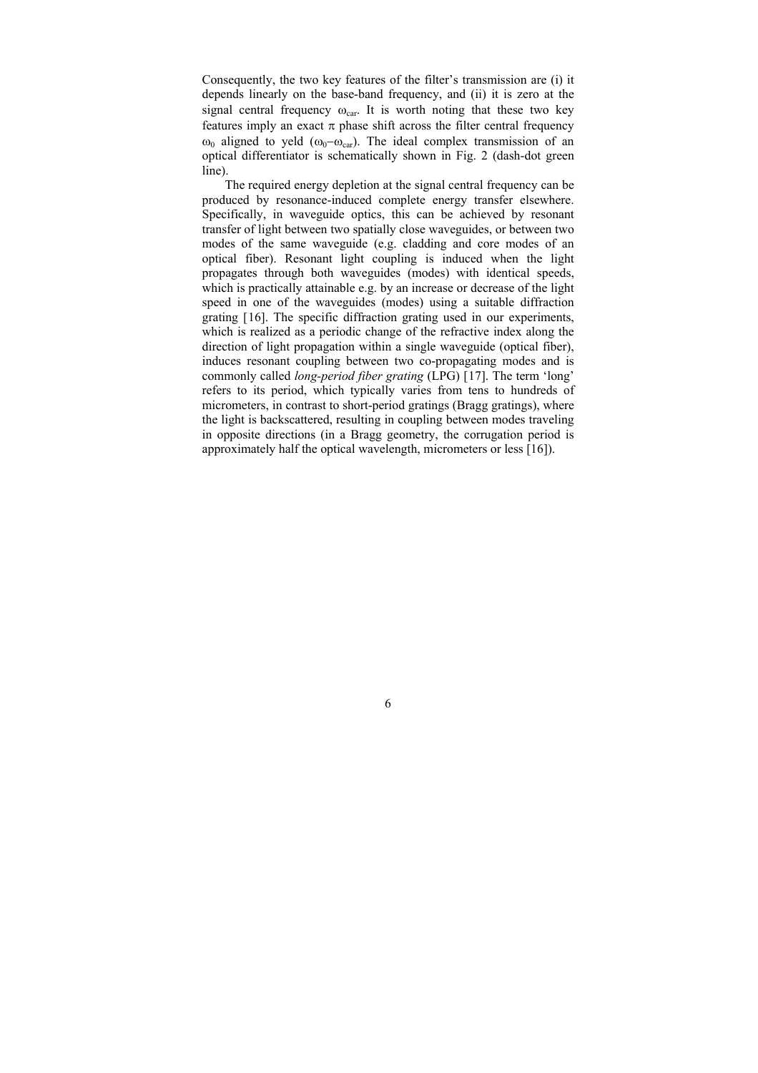Consequently, the two key features of the filter's transmission are (i) it depends linearly on the base-band frequency, and (ii) it is zero at the signal central frequency  $\omega_{car}$ . It is worth noting that these two key features imply an exact  $\pi$  phase shift across the filter central frequency  $ω_0$  aligned to yeld ( $ω_0-ω_{car}$ ). The ideal complex transmission of an optical differentiator is schematically shown in Fig. 2 (dash-dot green line).

<span id="page-6-3"></span><span id="page-6-2"></span><span id="page-6-1"></span><span id="page-6-0"></span>The required energy depletion at the signal central frequency can be produced by resonance-induced complete energy transfer elsewhere. Specifically, in waveguide optics, this can be achieved by resonant transfer of light between two spatially close waveguides, or between two modes of the same waveguide (e.g. cladding and core modes of an optical fiber). Resonant light coupling is induced when the light propagates through both waveguides (modes) with identical speeds, which is practically attainable e.g. by an increase or decrease of the light speed in one of the waveguides (modes) using a suitable diffraction grating [[16\]](#page-7-0). The specific diffraction grating used in our experiments, which is realized as a periodic change of the refractive index along the direction of light propagation within a single waveguide (optical fiber), induces resonant coupling between two co-propagating modes and is commonly called *long-period fiber grating* (LPG) [[17\]](#page-7-0). The term 'long' refers to its period, which typically varies from tens to hundreds of micrometers, in contrast to short-period gratings (Bragg gratings), where the light is backscattered, resulting in coupling between modes traveling in opposite directions (in a Bragg geometry, the corrugation period is approximately half the optical wavelength, micrometers or less [[16\]](#page-6-2)).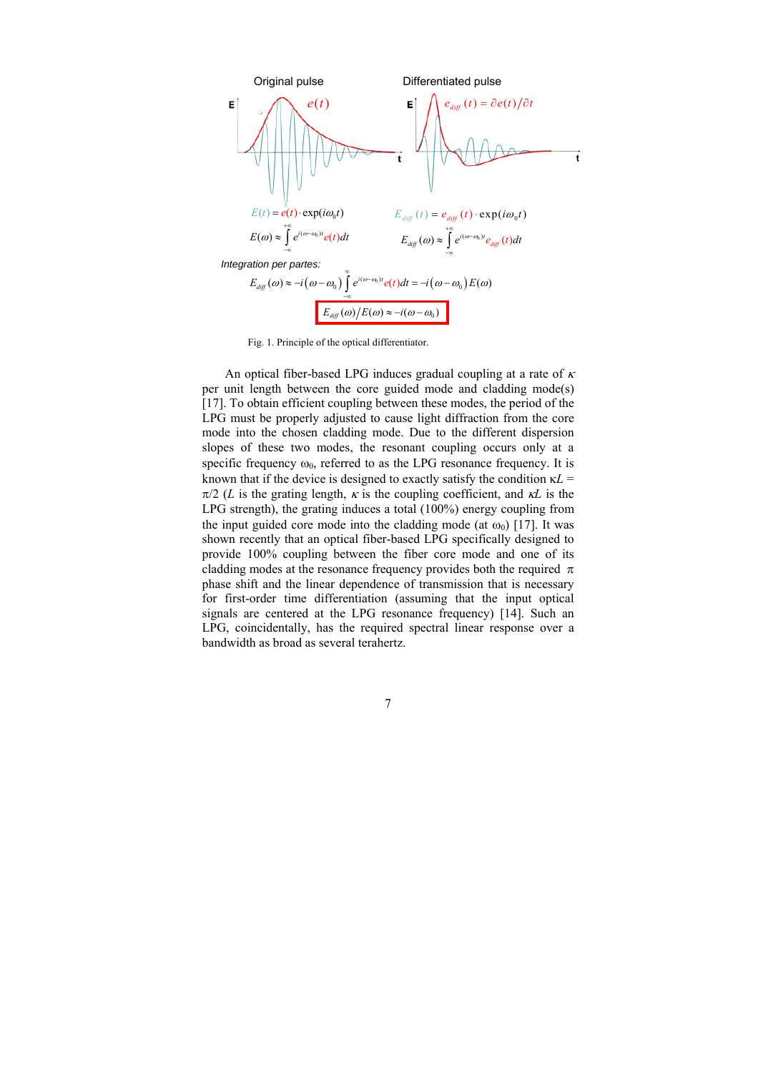

Fig. 1. Principle of the optical differentiator.

<span id="page-7-0"></span>An optical fiber-based LPG induces gradual coupling at a rate of  $\kappa$ per unit length between the core guided mode and cladding mode(s) [[17\]](#page-6-3). To obtain efficient coupling between these modes, the period of the LPG must be properly adjusted to cause light diffraction from the core mode into the chosen cladding mode. Due to the different dispersion slopes of these two modes, the resonant coupling occurs only at a specific frequency  $\omega_0$ , referred to as the LPG resonance frequency. It is known that if the device is designed to exactly satisfy the condition  $\kappa L =$  $\pi/2$  (*L* is the grating length,  $\kappa$  is the coupling coefficient, and  $\kappa L$  is the LPG strength), the grating induces a total (100%) energy coupling from the input guided core mode into the cladding mode (at  $\omega_0$ ) [\[17](#page-6-3)]. It was shown recently that an optical fiber-based LPG specifically designed to provide 100% coupling between the fiber core mode and one of its cladding modes at the resonance frequency provides both the required  $\pi$ phase shift and the linear dependence of transmission that is necessary for first-order time differentiation (assuming that the input optical signals are centered at the LPG resonance frequency) [[14\]](#page-5-2). Such an LPG, coincidentally, has the required spectral linear response over a bandwidth as broad as several terahertz.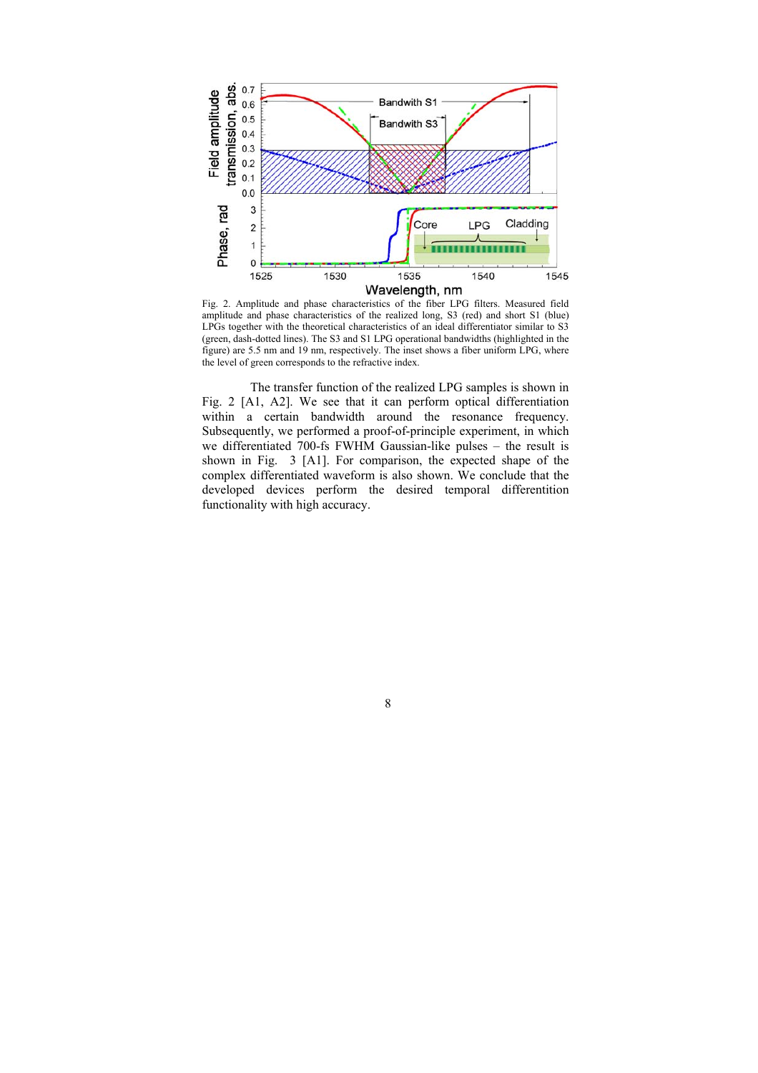

Fig. 2. Amplitude and phase characteristics of the fiber LPG filters. Measured field amplitude and phase characteristics of the realized long, S3 (red) and short S1 (blue) LPGs together with the theoretical characteristics of an ideal differentiator similar to S3 (green, dash-dotted lines). The S3 and S1 LPG operational bandwidths (highlighted in the figure) are 5.5 nm and 19 nm, respectively. The inset shows a fiber uniform LPG, where the level of green corresponds to the refractive index.

 The transfer function of the realized LPG samples is shown in Fig. 2 [A1, A2]. We see that it can perform optical differentiation within a certain bandwidth around the resonance frequency. Subsequently, we performed a proof-of-principle experiment, in which we differentiated 700-fs FWHM Gaussian-like pulses – the result is shown in Fig. 3 [A1]. For comparison, the expected shape of the complex differentiated waveform is also shown. We conclude that the developed devices perform the desired temporal differentition functionality with high accuracy.

8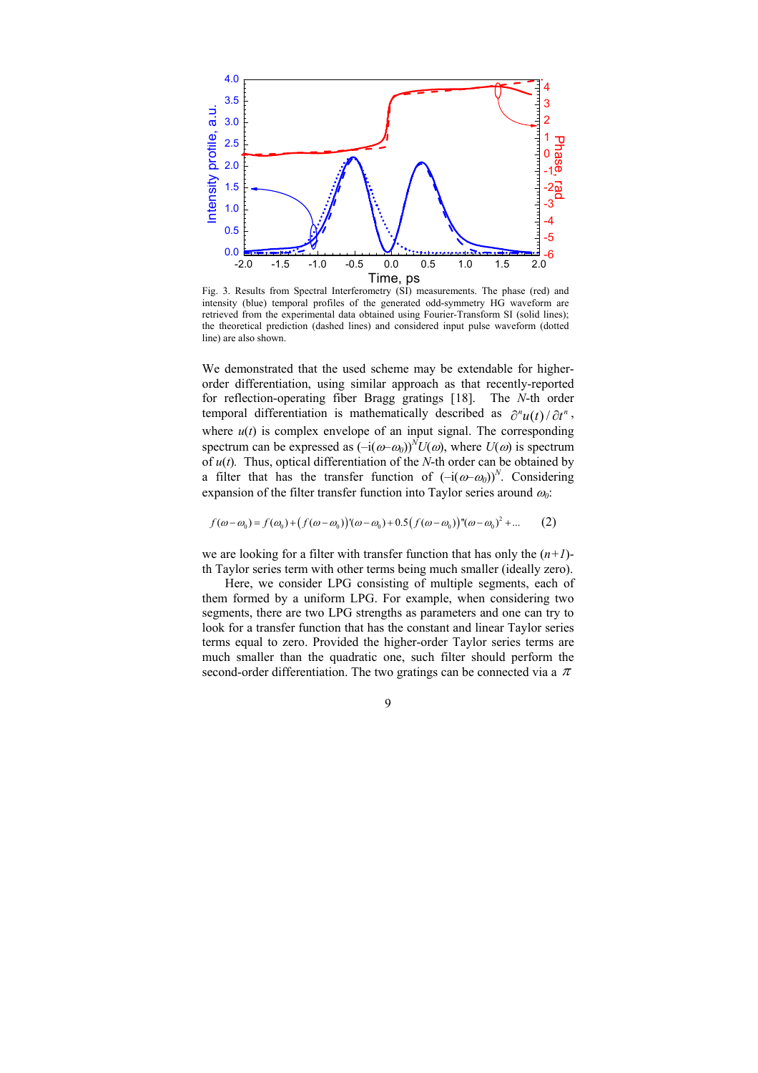

Fig. 3. Results from Spectral Interferometry (SI) measurements. The phase (red) and intensity (blue) temporal profiles of the generated odd-symmetry HG waveform are retrieved from the experimental data obtained using Fourier-Transform SI (solid lines); the theoretical prediction (dashed lines) and considered input pulse waveform (dotted line) are also shown.

We demonstrated that the used scheme may be extendable for higherorder differentiation, using similar approach as that recently-reported for reflection-operating fiber Bragg gratings [[18\].](#page-7-0) The *N*-th order temporal differentiation is mathematically described as  $\frac{\partial^n u(t)}{\partial t^n}$ , where  $u(t)$  is complex envelope of an input signal. The corresponding spectrum can be expressed as  $(-i(\omega-\omega_0))^N U(\omega)$ , where  $U(\omega)$  is spectrum of *u*(*t*)*.* Thus, optical differentiation of the *N*-th order can be obtained by a filter that has the transfer function of  $(-i(\omega-\omega_0))^N$ . Considering expansion of the filter transfer function into Taylor series around <sup>ω</sup>*0*:

$$
f(\omega - \omega_0) = f(\omega_0) + (f(\omega - \omega_0))'(\omega - \omega_0) + 0.5(f(\omega - \omega_0))''(\omega - \omega_0)^2 + ... \tag{2}
$$

we are looking for a filter with transfer function that has only the  $(n+1)$ th Taylor series term with other terms being much smaller (ideally zero).

Here, we consider LPG consisting of multiple segments, each of them formed by a uniform LPG. For example, when considering two segments, there are two LPG strengths as parameters and one can try to look for a transfer function that has the constant and linear Taylor series terms equal to zero. Provided the higher-order Taylor series terms are much smaller than the quadratic one, such filter should perform the second-order differentiation. The two gratings can be connected via a  $\pi$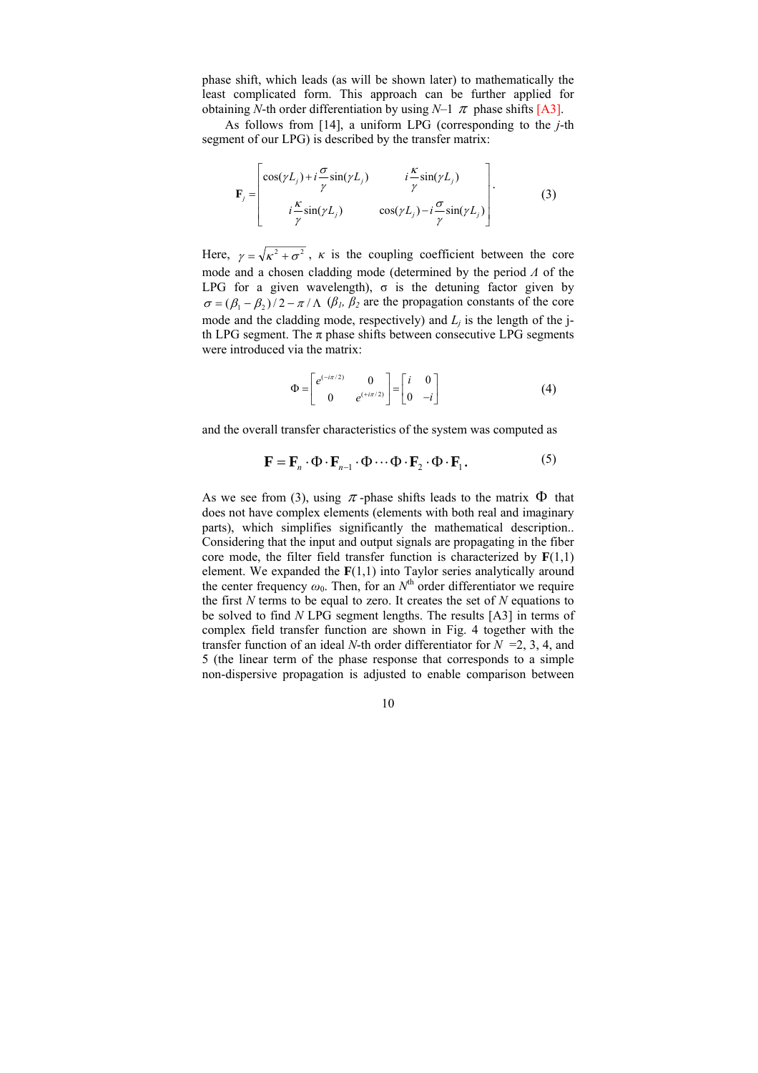phase shift, which leads (as will be shown later) to mathematically the least complicated form. This approach can be further applied for obtaining *N*-th order differentiation by using *N*-1  $\pi$  phase shifts [A3].

As follows from [[14\]](#page-5-2), a uniform LPG (corresponding to the *j*-th segment of our LPG) is described by the transfer matrix:

$$
\mathbf{F}_{j} = \begin{bmatrix} \cos(\gamma L_{j}) + i\frac{\sigma}{\gamma}\sin(\gamma L_{j}) & i\frac{\kappa}{\gamma}\sin(\gamma L_{j}) \\ i\frac{\kappa}{\gamma}\sin(\gamma L_{j}) & \cos(\gamma L_{j}) - i\frac{\sigma}{\gamma}\sin(\gamma L_{j}) \end{bmatrix}.
$$
 (3)

Here,  $\gamma = \sqrt{\kappa^2 + \sigma^2}$ ,  $\kappa$  is the coupling coefficient between the core mode and a chosen cladding mode (determined by the period *Λ* of the LPG for a given wavelength),  $\sigma$  is the detuning factor given by  $\sigma = (\beta_1 - \beta_2)/2 - \pi / \Lambda$  ( $\beta_1$ ,  $\beta_2$  are the propagation constants of the core mode and the cladding mode, respectively) and  $L_j$  is the length of the jth LPG segment. The  $\pi$  phase shifts between consecutive LPG segments were introduced via the matrix:

$$
\Phi = \begin{bmatrix} e^{(-i\pi/2)} & 0 \\ 0 & e^{(+i\pi/2)} \end{bmatrix} = \begin{bmatrix} i & 0 \\ 0 & -i \end{bmatrix}
$$
 (4)

and the overall transfer characteristics of the system was computed as

$$
\mathbf{F} = \mathbf{F}_n \cdot \Phi \cdot \mathbf{F}_{n-1} \cdot \Phi \cdots \Phi \cdot \mathbf{F}_2 \cdot \Phi \cdot \mathbf{F}_1.
$$
 (5)

As we see from (3), using  $\pi$ -phase shifts leads to the matrix  $\Phi$  that does not have complex elements (elements with both real and imaginary parts), which simplifies significantly the mathematical description.. Considering that the input and output signals are propagating in the fiber core mode, the filter field transfer function is characterized by  $F(1,1)$ element. We expanded the  $F(1,1)$  into Taylor series analytically around the center frequency  $\omega_0$ . Then, for an  $N^{\text{th}}$  order differentiator we require the first *N* terms to be equal to zero. It creates the set of *N* equations to be solved to find *N* LPG segment lengths. The results [A3] in terms of complex field transfer function are shown in Fig. 4 together with the transfer function of an ideal *N*-th order differentiator for  $N = 2, 3, 4$ , and 5 (the linear term of the phase response that corresponds to a simple non-dispersive propagation is adjusted to enable comparison between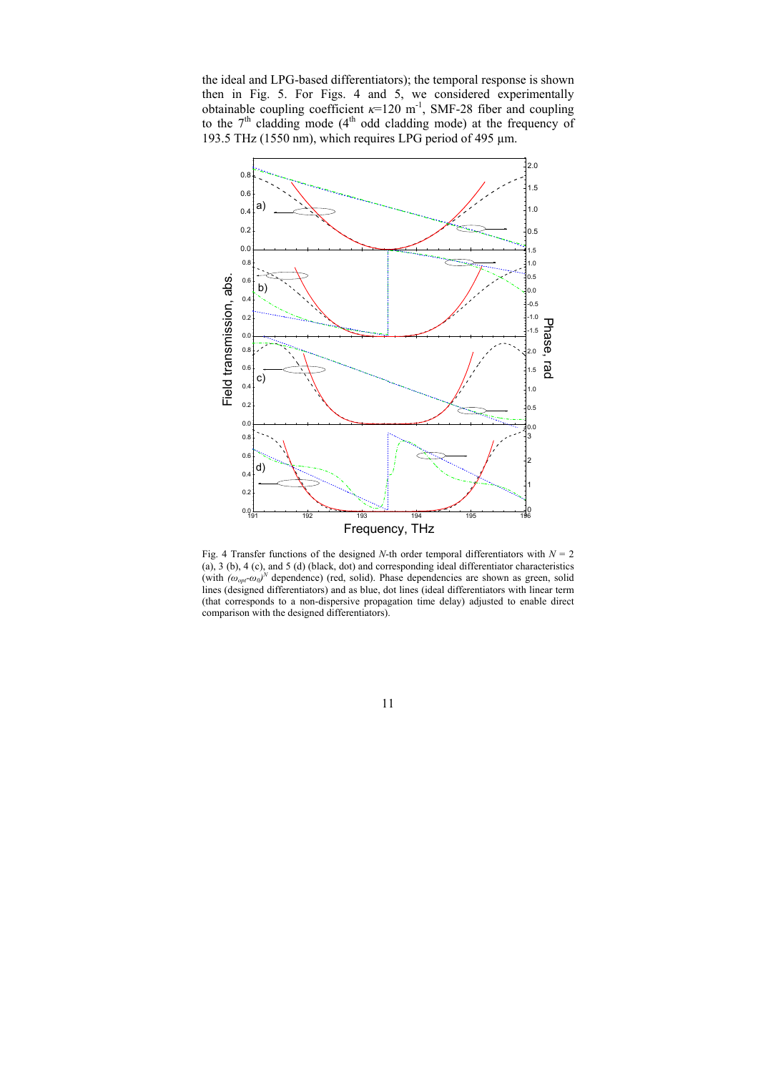the ideal and LPG-based differentiators); the temporal response is shown then in Fig. 5. For Figs. 4 and 5, we considered experimentally obtainable coupling coefficient  $\kappa$ =120 m<sup>-1</sup>, SMF-28 fiber and coupling to the  $7<sup>th</sup>$  cladding mode (4<sup>th</sup> odd cladding mode) at the frequency of 193.5 THz (1550 nm), which requires LPG period of 495  $\mu$ m.



Fig. 4 Transfer functions of the designed *N*-th order temporal differentiators with  $N = 2$ (a), 3 (b), 4 (c), and 5 (d) (black, dot) and corresponding ideal differentiator characteristics (with  $(\omega_{opt} - \omega_0)^N$  dependence) (red, solid). Phase dependencies are shown as green, solid lines (designed differentiators) and as blue, dot lines (ideal differentiators with linear term (that corresponds to a non-dispersive propagation time delay) adjusted to enable direct comparison with the designed differentiators).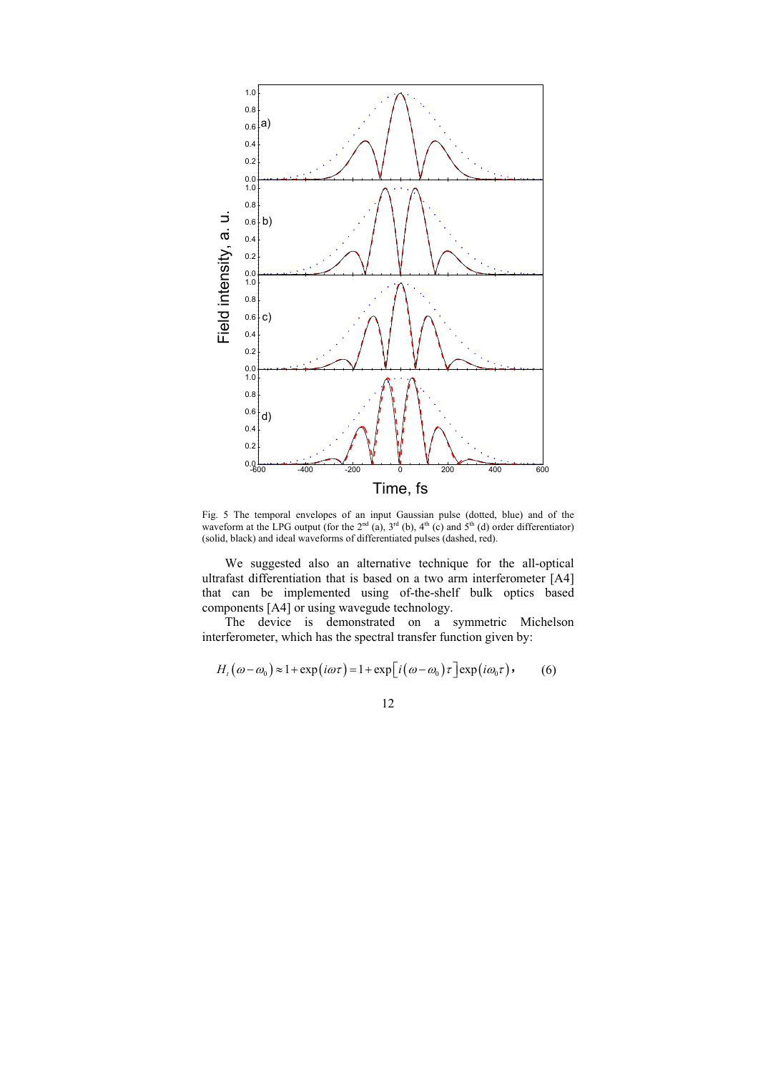

Fig. 5 The temporal envelopes of an input Gaussian pulse (dotted, blue) and of the waveform at the LPG output (for the  $2<sup>nd</sup>$  (a),  $3<sup>rd</sup>$  (b),  $4<sup>th</sup>$  (c) and  $5<sup>th</sup>$  (d) order differentiator) (solid, black) and ideal waveforms of differentiated pulses (dashed, red).

We suggested also an alternative technique for the all-optical ultrafast differentiation that is based on a two arm interferometer [A4] that can be implemented using of-the-shelf bulk optics based components [A4] or using wavegude technology.

The device is demonstrated on a symmetric Michelson interferometer, which has the spectral transfer function given by:

$$
H_{t}(\omega-\omega_{0})\approx 1+\exp(i\omega\tau)=1+\exp[i(\omega-\omega_{0})\tau]\exp(i\omega_{0}\tau), \qquad (6)
$$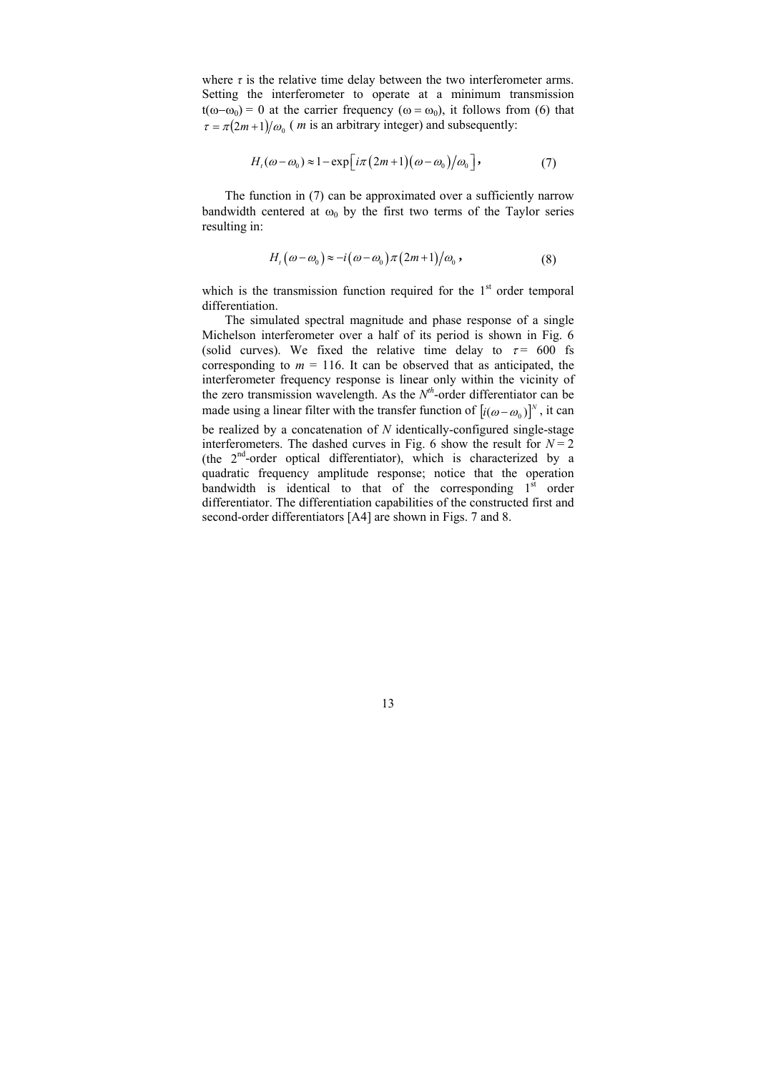where  $\tau$  is the relative time delay between the two interferometer arms. Setting the interferometer to operate at a minimum transmission t( $\omega-\omega_0$ ) = 0 at the carrier frequency ( $\omega = \omega_0$ ), it follows from (6) that  $\tau = \pi (2m+1)/\omega_0$  (*m* is an arbitrary integer) and subsequently:

$$
H_t(\omega - \omega_0) \approx 1 - \exp\left[i\pi(2m+1)(\omega - \omega_0)/\omega_0\right],\tag{7}
$$

The function in (7) can be approximated over a sufficiently narrow bandwidth centered at  $\omega_0$  by the first two terms of the Taylor series resulting in:

$$
H_{i}(\omega-\omega_{0})\approx -i(\omega-\omega_{0})\pi(2m+1)/\omega_{0}, \qquad (8)
$$

which is the transmission function required for the  $1<sup>st</sup>$  order temporal differentiation.

The simulated spectral magnitude and phase response of a single Michelson interferometer over a half of its period is shown in Fig. 6 (solid curves). We fixed the relative time delay to  $\tau = 600$  fs corresponding to  $m = 116$ . It can be observed that as anticipated, the interferometer frequency response is linear only within the vicinity of the zero transmission wavelength. As the  $N<sup>th</sup>$ -order differentiator can be made using a linear filter with the transfer function of  $\left[ i(\omega - \omega_0) \right]^N$ , it can be realized by a concatenation of *N* identically-configured single-stage

interferometers. The dashed curves in Fig. 6 show the result for  $N = 2$ (the  $2<sup>nd</sup>$ -order optical differentiator), which is characterized by a quadratic frequency amplitude response; notice that the operation bandwidth is identical to that of the corresponding  $1<sup>st</sup>$  order differentiator. The differentiation capabilities of the constructed first and second-order differentiators [A4] are shown in Figs. 7 and 8.

13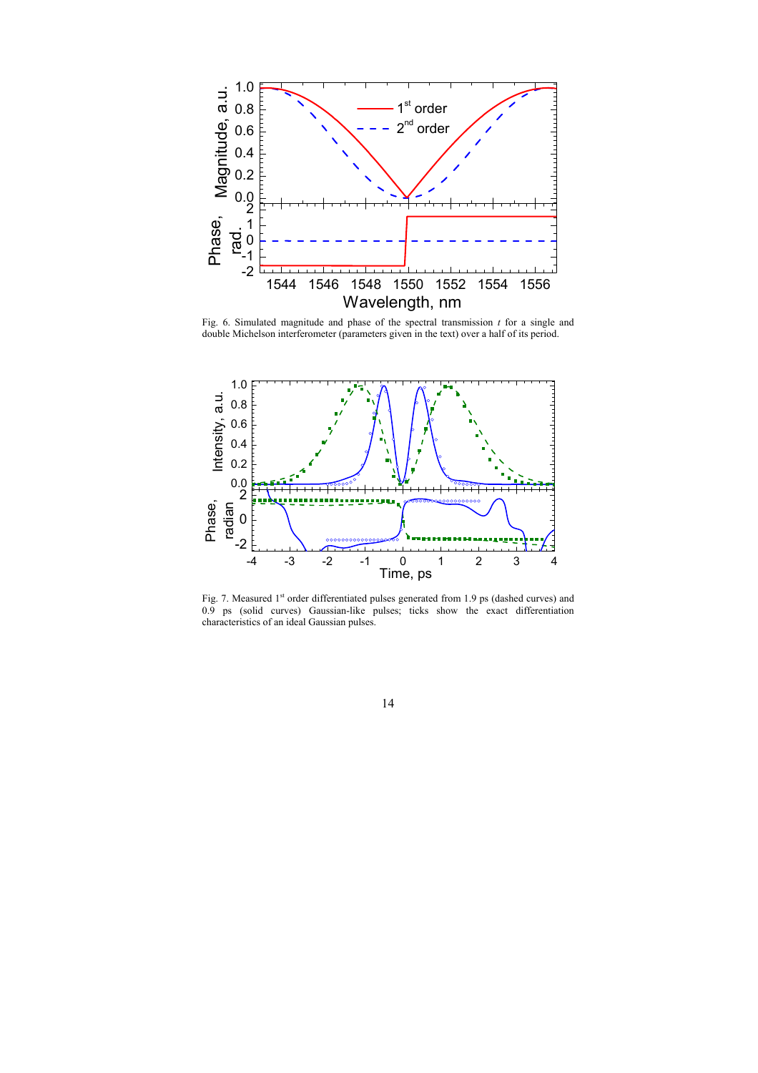

Fig. 6. Simulated magnitude and phase of the spectral transmission *t* for a single and double Michelson interferometer (parameters given in the text) over a half of its period.



Fig. 7. Measured 1<sup>st</sup> order differentiated pulses generated from 1.9 ps (dashed curves) and 0.9 ps (solid curves) Gaussian-like pulses; ticks show the exact differentiation characteristics of an ideal Gaussian pulses.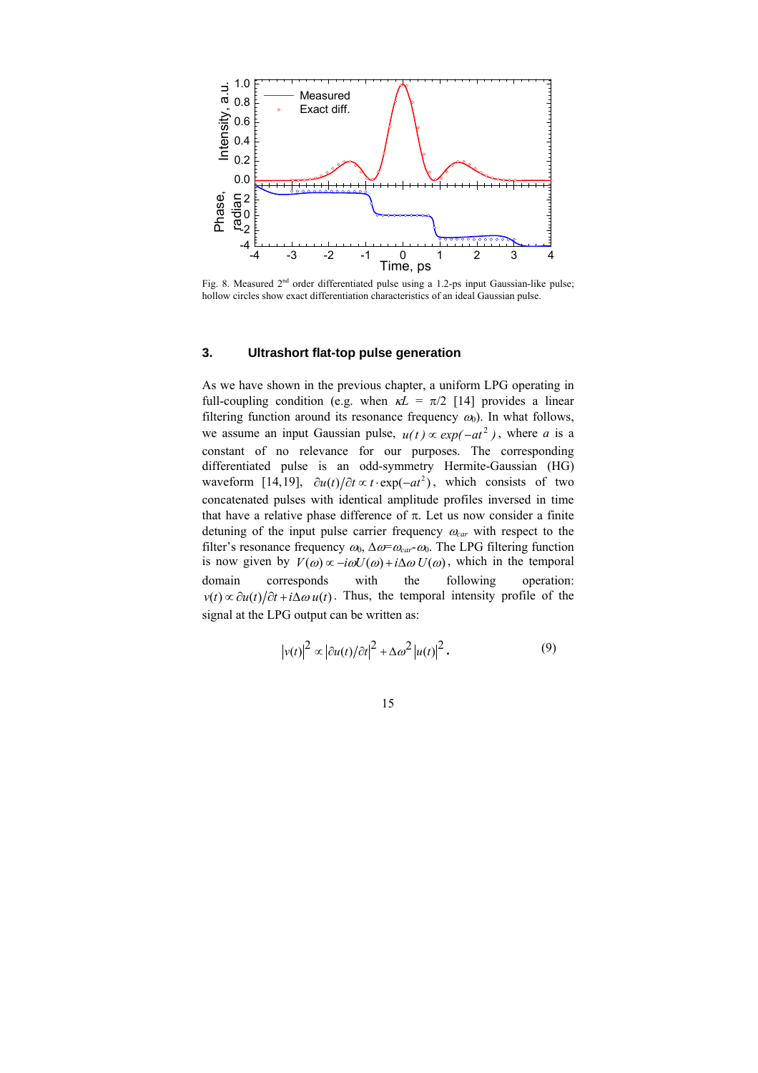<span id="page-15-0"></span>

Fig. 8. Measured 2<sup>nd</sup> order differentiated pulse using a 1.2-ps input Gaussian-like pulse; hollow circles show exact differentiation characteristics of an ideal Gaussian pulse.

#### **3. Ultrashort flat-top pulse generation**

As we have shown in the previous chapter, a uniform LPG operating in full-coupling condition (e.g. when  $\kappa L = \pi/2$  [\[14](#page-5-2)] provides a linear filtering function around its resonance frequency  $\omega_0$ ). In what follows, we assume an input Gaussian pulse,  $u(t) \propto exp(-at^2)$ , where *a* is a constant of no relevance for our purposes. The corresponding differentiated pulse is an odd-symmetry Hermite-Gaussian (HG) waveform [[14,](#page-5-2)[19\]](#page-7-0),  $\partial u(t)/\partial t \propto t \cdot \exp(-at^2)$ , which consists of two concatenated pulses with identical amplitude profiles inversed in time that have a relative phase difference of π. Let us now consider a finite detuning of the input pulse carrier frequency <sup>ω</sup>*car* with respect to the filter's resonance frequency  $\omega_0$ ,  $\Delta \omega = \omega_{car} \omega_0$ . The LPG filtering function is now given by  $V(\omega) \propto -i\omega U(\omega) + i\Delta \omega U(\omega)$ , which in the temporal domain corresponds with the following operation:  $v(t) \propto \partial u(t)/\partial t + i\Delta \omega u(t)$ . Thus, the temporal intensity profile of the signal at the LPG output can be written as:

<span id="page-15-1"></span>
$$
\left| v(t) \right|^2 \propto \left| \frac{\partial u(t)}{\partial t} \right|^2 + \Delta \omega^2 \left| u(t) \right|^2. \tag{9}
$$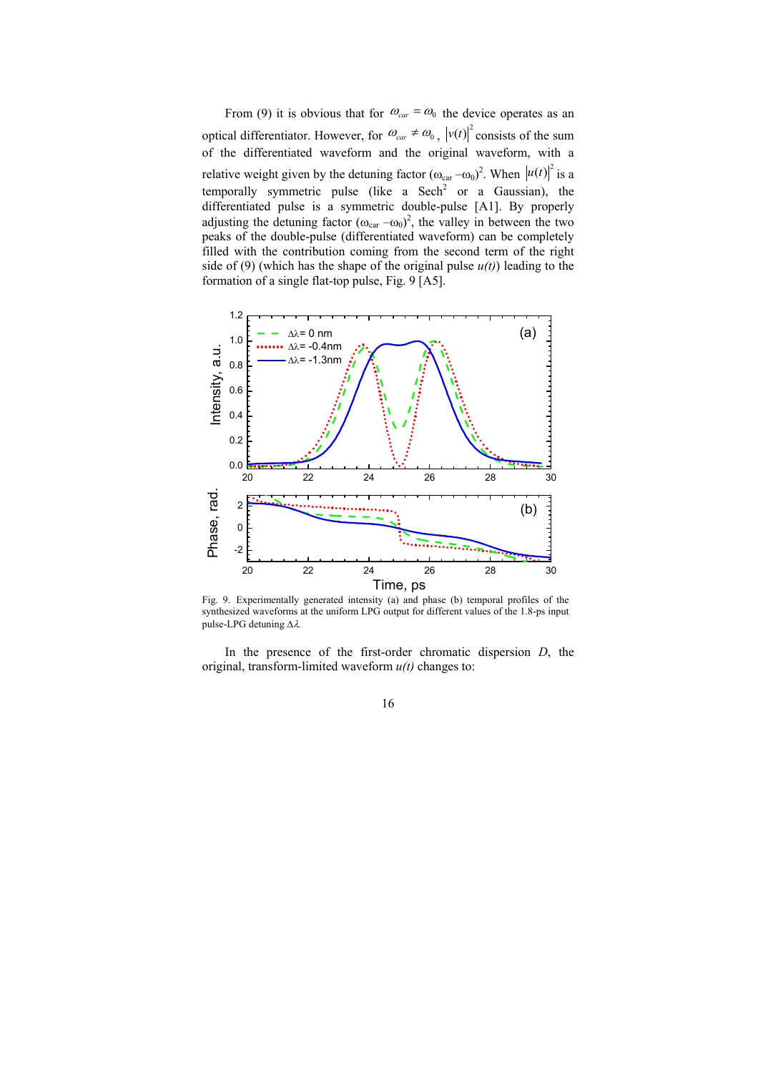From (9) it is obvious that for  $\omega_{car} = \omega_0$  the device operates as an optical differentiator. However, for  $\omega_{car} \neq \omega_0$ ,  $|v(t)|^2$  consists of the sum of the differentiated waveform and the original waveform, with a relative weight given by the detuning factor  $(\omega_{\text{car}} - \omega_0)^2$ . When  $|u(t)|^2$  is a temporally symmetric pulse (like a Sech<sup>2</sup> or a Gaussian), the differentiated pulse is a symmetric double-pulse [A1]. By properly adjusting the detuning factor  $(\omega_{\text{car}} - \omega_0)^2$ , the valley in between the two peaks of the double-pulse (differentiated waveform) can be completely filled with the contribution coming from the second term of the right side of (9) (which has the shape of the original pulse  $u(t)$ ) leading to the formation of a single flat-top pulse, Fig. 9 [A5].



Fig. 9. Experimentally generated intensity (a) and phase (b) temporal profiles of the synthesized waveforms at the uniform LPG output for different values of the 1.8-ps input pulse-LPG detuning Δλ*.*

In the presence of the first-order chromatic dispersion *D*, the original, transform-limited waveform *u(t)* changes to: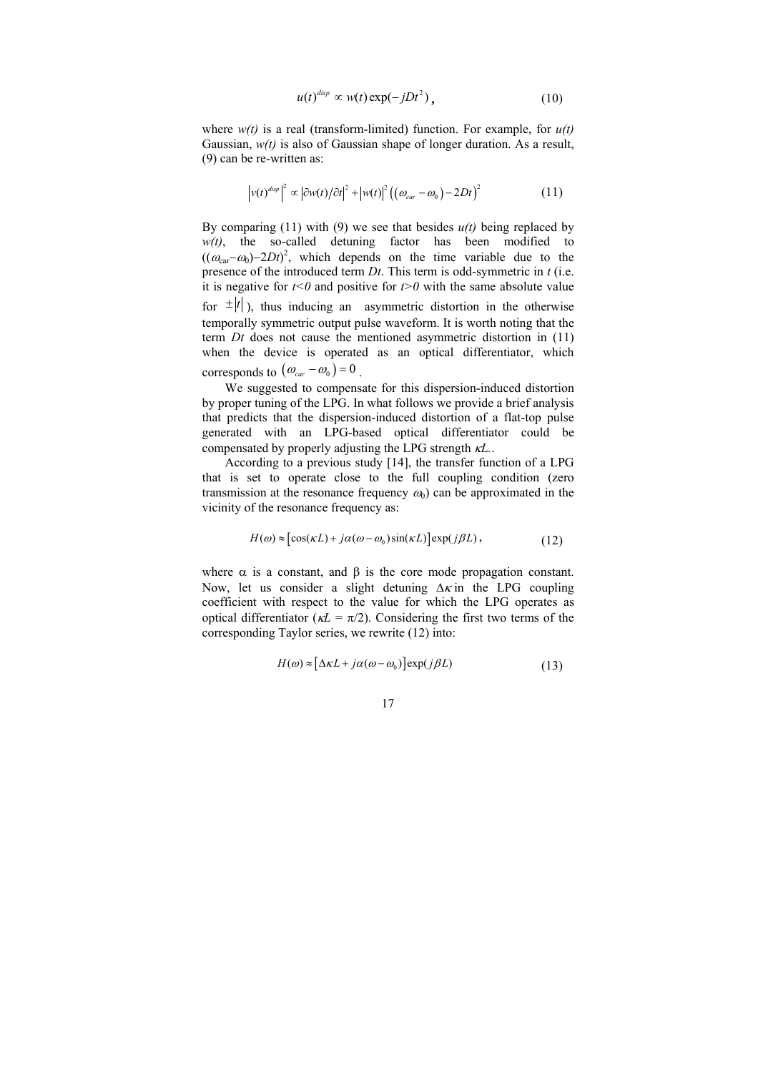$$
u(t)^{disp} \propto w(t) \exp(-jDt^2), \qquad (10)
$$

where *w(t)* is a real (transform-limited) function. For example, for *u(t)* Gaussian, *w(t)* is also of Gaussian shape of longer duration. As a result, (9) can be re-written as:

$$
\left| v(t)^{disp} \right|^2 \propto \left| \frac{\partial w(t)}{\partial t^2} + \left| w(t) \right|^2 \left( \left( \omega_{car} - \omega_0 \right) - 2Dt \right)^2 \tag{11}
$$

By comparing (11) with (9) we see that besides  $u(t)$  being replaced by *w(t)*, the so-called detuning factor has been modified to  $((\omega_{\text{car}} - \omega_0) - 2Dt)^2$ , which depends on the time variable due to the presence of the introduced term *Dt*. This term is odd-symmetric in *t* (i.e. it is negative for  $t < 0$  and positive for  $t > 0$  with the same absolute value for  $\pm |t|$ ), thus inducing an asymmetric distortion in the otherwise temporally symmetric output pulse waveform. It is worth noting that the term *Dt* does not cause the mentioned asymmetric distortion in (11) when the device is operated as an optical differentiator, which corresponds to  $(\omega_{car} - \omega_0) = 0$ .

We suggested to compensate for this dispersion-induced distortion by proper tuning of the LPG. In what follows we provide a brief analysis that predicts that the dispersion-induced distortion of a flat-top pulse generated with an LPG-based optical differentiator could be compensated by properly adjusting the LPG strength κ*L.*.

According to a previous study [\[14](#page-5-2)], the transfer function of a LPG that is set to operate close to the full coupling condition (zero transmission at the resonance frequency  $\omega_0$ ) can be approximated in the vicinity of the resonance frequency as:

$$
H(\omega) \approx \left[ \cos(\kappa L) + j\alpha (\omega - \omega_0) \sin(\kappa L) \right] \exp(j\beta L), \tag{12}
$$

where  $\alpha$  is a constant, and  $\beta$  is the core mode propagation constant. Now, let us consider a slight detuning  $\Delta \kappa$  in the LPG coupling coefficient with respect to the value for which the LPG operates as optical differentiator ( $\kappa L = \pi/2$ ). Considering the first two terms of the corresponding Taylor series, we rewrite (12) into:

$$
H(\omega) \approx [\Delta \kappa L + j\alpha(\omega - \omega_0)] \exp(j\beta L)
$$
 (13)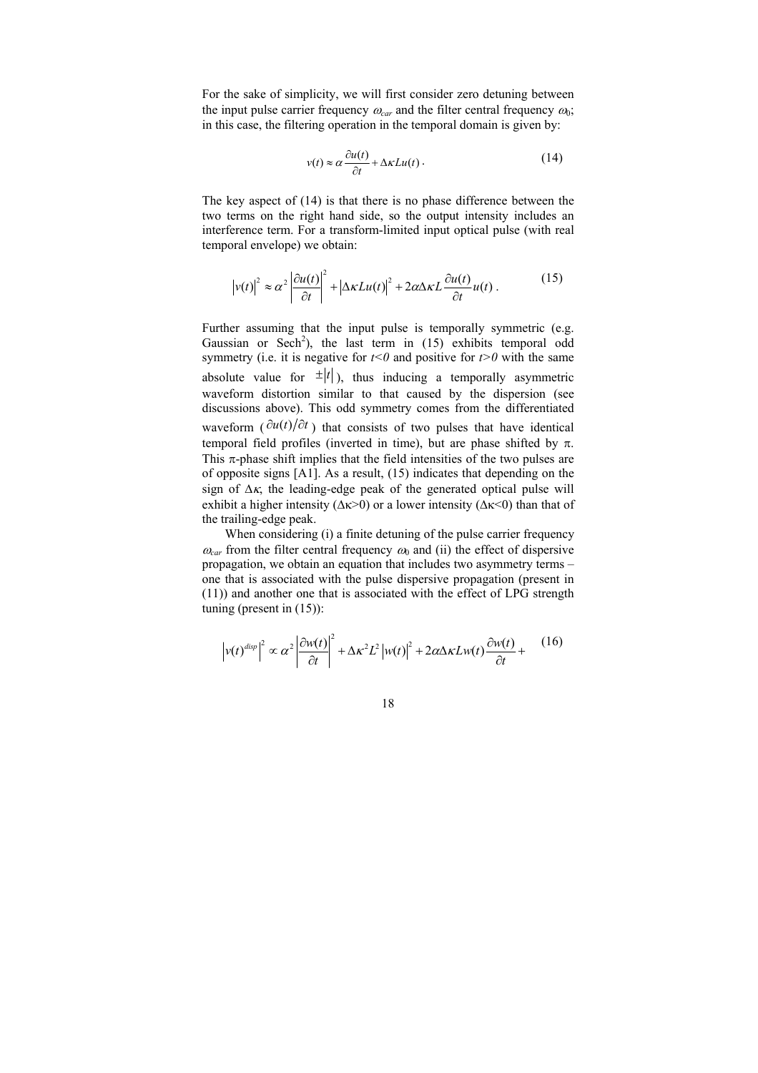For the sake of simplicity, we will first consider zero detuning between the input pulse carrier frequency  $\omega_{car}$  and the filter central frequency  $\omega_0$ ; in this case, the filtering operation in the temporal domain is given by:

$$
v(t) \approx \alpha \frac{\partial u(t)}{\partial t} + \Delta \kappa L u(t) \,. \tag{14}
$$

The key aspect of (14) is that there is no phase difference between the two terms on the right hand side, so the output intensity includes an interference term. For a transform-limited input optical pulse (with real temporal envelope) we obtain:

$$
\left| v(t) \right|^2 \approx \alpha^2 \left| \frac{\partial u(t)}{\partial t} \right|^2 + \left| \Delta \kappa L u(t) \right|^2 + 2 \alpha \Delta \kappa L \frac{\partial u(t)}{\partial t} u(t) \,. \tag{15}
$$

Further assuming that the input pulse is temporally symmetric (e.g. Gaussian or Sech<sup>2</sup>), the last term in (15) exhibits temporal odd symmetry (i.e. it is negative for  $t<0$  and positive for  $t>0$  with the same absolute value for  $\pm |t|$ ), thus inducing a temporally asymmetric waveform distortion similar to that caused by the dispersion (see discussions above). This odd symmetry comes from the differentiated waveform ( $\partial u(t)/\partial t$ ) that consists of two pulses that have identical temporal field profiles (inverted in time), but are phase shifted by π. This  $\pi$ -phase shift implies that the field intensities of the two pulses are of opposite signs [A1]. As a result, (15) indicates that depending on the sign of  $\Delta \kappa$ , the leading-edge peak of the generated optical pulse will exhibit a higher intensity ( $\Delta \kappa > 0$ ) or a lower intensity ( $\Delta \kappa < 0$ ) than that of the trailing-edge peak.

When considering (i) a finite detuning of the pulse carrier frequency  $\omega_{car}$  from the filter central frequency  $\omega_0$  and (ii) the effect of dispersive propagation, we obtain an equation that includes two asymmetry terms – one that is associated with the pulse dispersive propagation (present in (11)) and another one that is associated with the effect of LPG strength tuning (present in (15)):

$$
\left| v(t)^{disp} \right|^2 \propto \alpha^2 \left| \frac{\partial w(t)}{\partial t} \right|^2 + \Delta \kappa^2 L^2 \left| w(t) \right|^2 + 2 \alpha \Delta \kappa L w(t) \frac{\partial w(t)}{\partial t} + \quad (16)
$$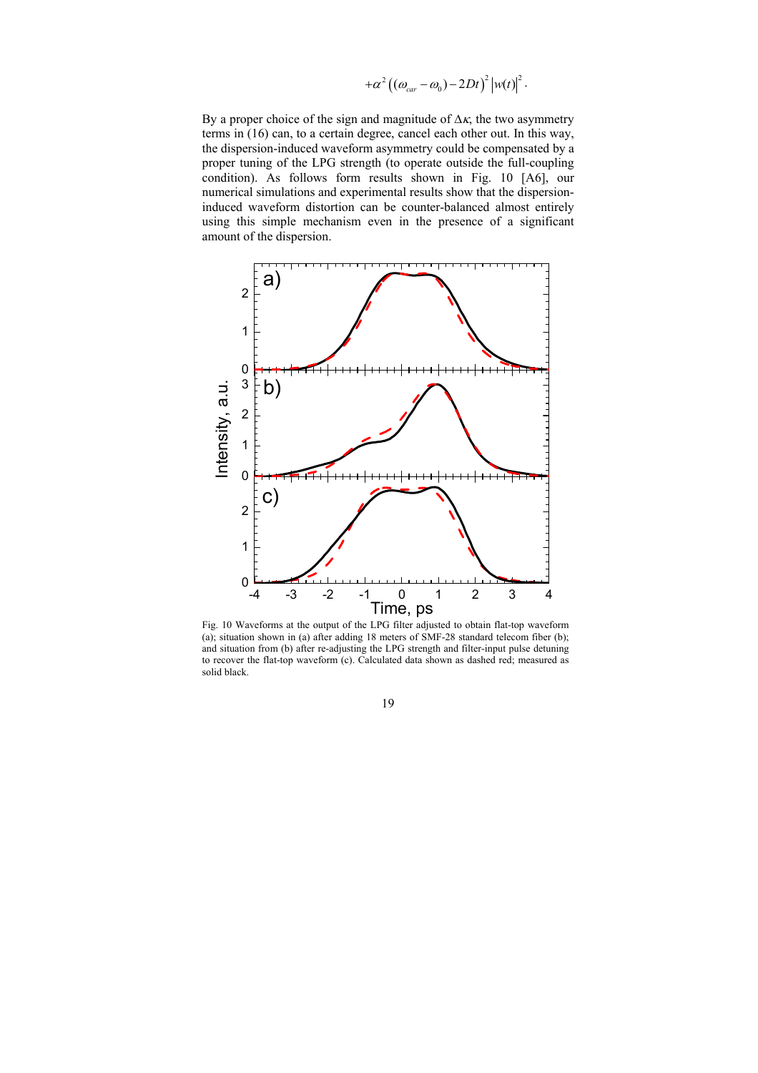$$
+\alpha^2\left((\omega_{car}-\omega_0)-2Dt\right)^2\left|w(t)\right|^2.
$$

By a proper choice of the sign and magnitude of  $\Delta \kappa$ , the two asymmetry terms in (16) can, to a certain degree, cancel each other out. In this way, the dispersion-induced waveform asymmetry could be compensated by a proper tuning of the LPG strength (to operate outside the full-coupling condition). As follows form results shown in Fig. 10 [A6], our numerical simulations and experimental results show that the dispersioninduced waveform distortion can be counter-balanced almost entirely using this simple mechanism even in the presence of a significant amount of the dispersion.



Fig. 10 Waveforms at the output of the LPG filter adjusted to obtain flat-top waveform (a); situation shown in (a) after adding 18 meters of SMF-28 standard telecom fiber (b); and situation from (b) after re-adjusting the LPG strength and filter-input pulse detuning to recover the flat-top waveform (c). Calculated data shown as dashed red; measured as solid black.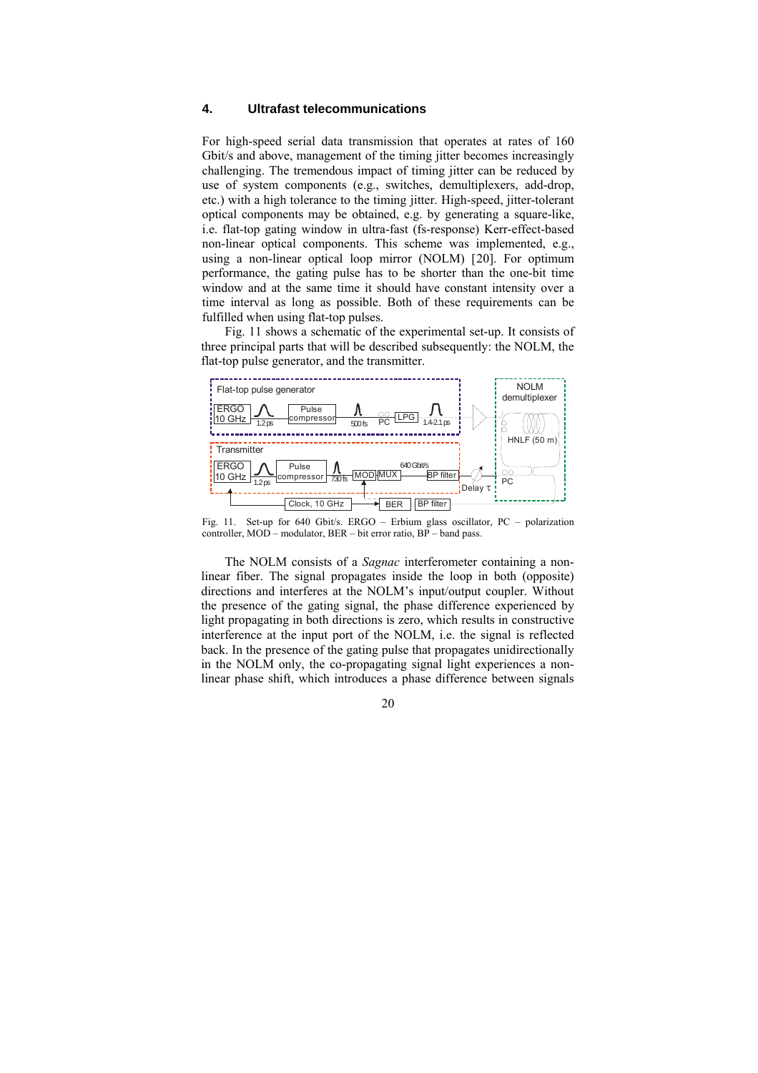## <span id="page-20-0"></span>**4. Ultrafast telecommunications**

For high-speed serial data transmission that operates at rates of 160 Gbit/s and above, management of the timing jitter becomes increasingly challenging. The tremendous impact of timing jitter can be reduced by use of system components (e.g., switches, demultiplexers, add-drop, etc.) with a high tolerance to the timing jitter. High-speed, jitter-tolerant optical components may be obtained, e.g. by generating a square-like, i.e. flat-top gating window in ultra-fast (fs-response) Kerr-effect-based non-linear optical components. This scheme was implemented, e.g., using a non-linear optical loop mirror (NOLM) [[2](#page-7-0)0]. For optimum performance, the gating pulse has to be shorter than the one-bit time window and at the same time it should have constant intensity over a time interval as long as possible. Both of these requirements can be fulfilled when using flat-top pulses.

Fig. 11 shows a schematic of the experimental set-up. It consists of three principal parts that will be described subsequently: the NOLM, the flat-top pulse generator, and the transmitter.

<span id="page-20-1"></span>

Fig. 11. Set-up for 640 Gbit/s. ERGO – Erbium glass oscillator, PC – polarization controller, MOD – modulator, BER – bit error ratio, BP – band pass.

The NOLM consists of a *Sagnac* interferometer containing a nonlinear fiber. The signal propagates inside the loop in both (opposite) directions and interferes at the NOLM's input/output coupler. Without the presence of the gating signal, the phase difference experienced by light propagating in both directions is zero, which results in constructive interference at the input port of the NOLM, i.e. the signal is reflected back. In the presence of the gating pulse that propagates unidirectionally in the NOLM only, the co-propagating signal light experiences a nonlinear phase shift, which introduces a phase difference between signals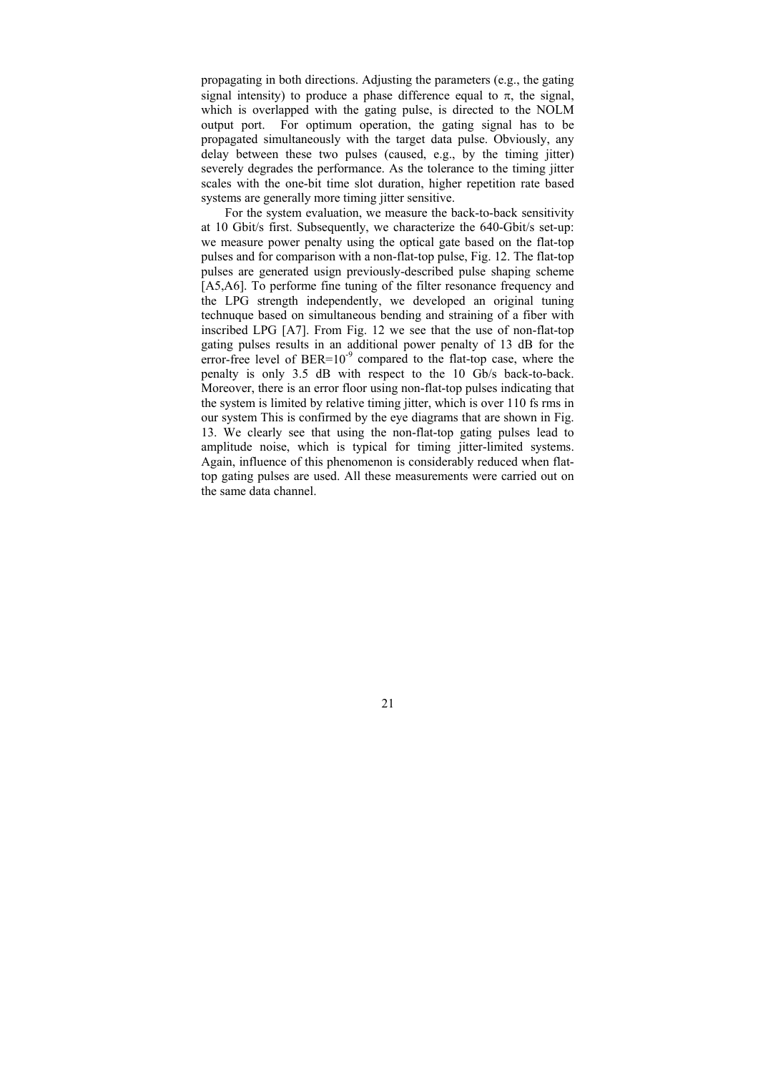propagating in both directions. Adjusting the parameters (e.g., the gating signal intensity) to produce a phase difference equal to  $\pi$ , the signal, which is overlapped with the gating pulse, is directed to the NOLM output port. For optimum operation, the gating signal has to be propagated simultaneously with the target data pulse. Obviously, any delay between these two pulses (caused, e.g., by the timing jitter) severely degrades the performance. As the tolerance to the timing jitter scales with the one-bit time slot duration, higher repetition rate based systems are generally more timing jitter sensitive.

For the system evaluation, we measure the back-to-back sensitivity at 10 Gbit/s first. Subsequently, we characterize the 640-Gbit/s set-up: we measure power penalty using the optical gate based on the flat-top pulses and for comparison with a non-flat-top pulse, Fig. 12. The flat-top pulses are generated usign previously-described pulse shaping scheme [A5,A6]. To performe fine tuning of the filter resonance frequency and the LPG strength independently, we developed an original tuning technuque based on simultaneous bending and straining of a fiber with inscribed LPG [A7]. From Fig. 12 we see that the use of non-flat-top gating pulses results in an additional power penalty of 13 dB for the error-free level of  $BER=10^{-9}$  compared to the flat-top case, where the penalty is only 3.5 dB with respect to the 10 Gb/s back-to-back. Moreover, there is an error floor using non-flat-top pulses indicating that the system is limited by relative timing jitter, which is over 110 fs rms in our system This is confirmed by the eye diagrams that are shown in Fig. 13. We clearly see that using the non-flat-top gating pulses lead to amplitude noise, which is typical for timing jitter-limited systems. Again, influence of this phenomenon is considerably reduced when flattop gating pulses are used. All these measurements were carried out on the same data channel.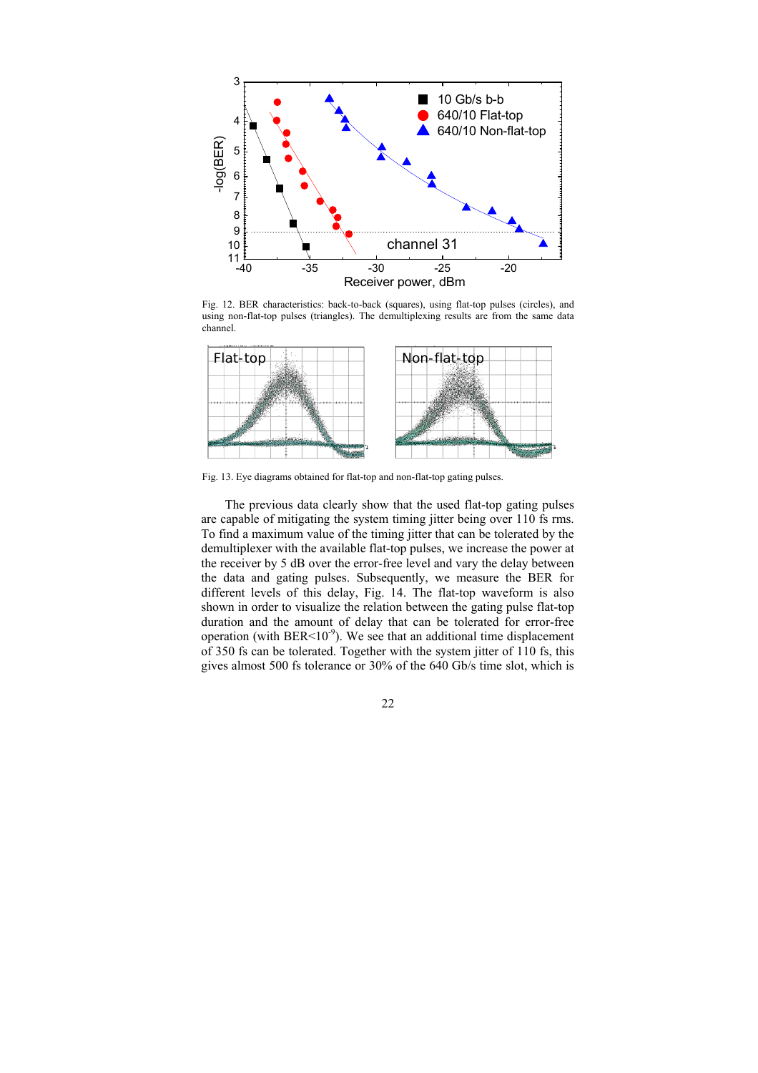

Fig. 12. BER characteristics: back-to-back (squares), using flat-top pulses (circles), and using non-flat-top pulses (triangles). The demultiplexing results are from the same data channel.



Fig. 13. Eye diagrams obtained for flat-top and non-flat-top gating pulses.

The previous data clearly show that the used flat-top gating pulses are capable of mitigating the system timing jitter being over 110 fs rms. To find a maximum value of the timing jitter that can be tolerated by the demultiplexer with the available flat-top pulses, we increase the power at the receiver by 5 dB over the error-free level and vary the delay between the data and gating pulses. Subsequently, we measure the BER for different levels of this delay, Fig. 14. The flat-top waveform is also shown in order to visualize the relation between the gating pulse flat-top duration and the amount of delay that can be tolerated for error-free operation (with BER<10 $^{\circ}$ ). We see that an additional time displacement of 350 fs can be tolerated. Together with the system jitter of 110 fs, this gives almost 500 fs tolerance or 30% of the 640 Gb/s time slot, which is

22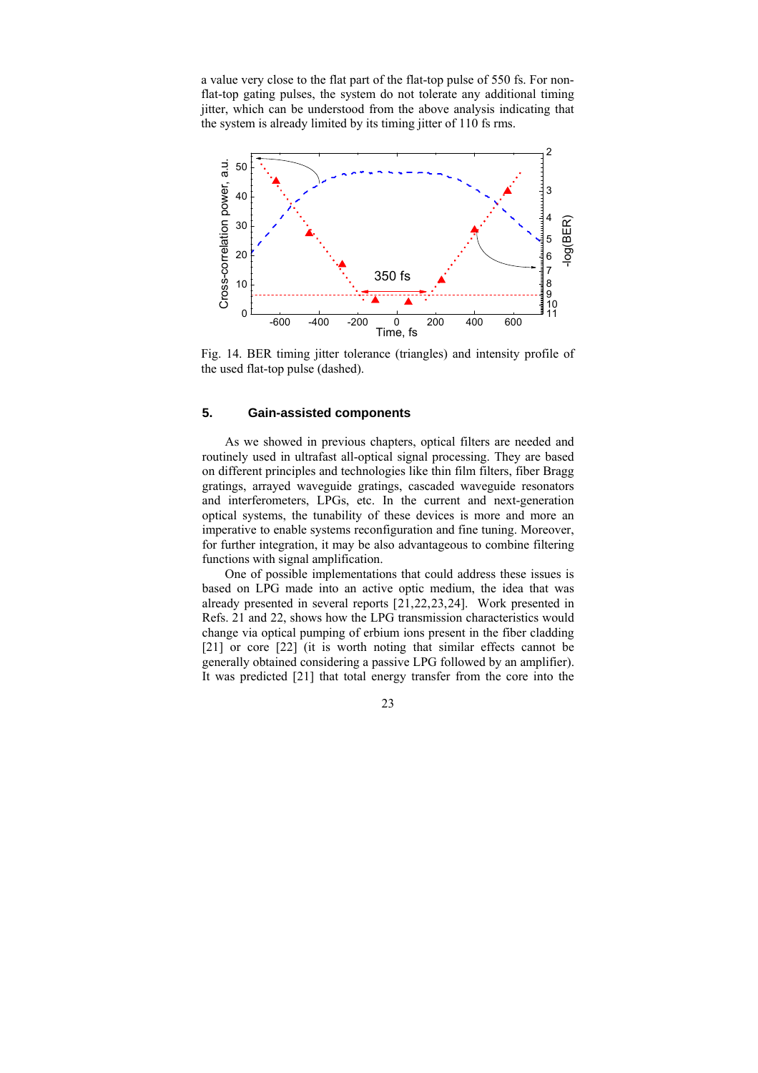<span id="page-23-0"></span>a value very close to the flat part of the flat-top pulse of 550 fs. For nonflat-top gating pulses, the system do not tolerate any additional timing jitter, which can be understood from the above analysis indicating that the system is already limited by its timing jitter of 110 fs rms.



Fig. 14. BER timing jitter tolerance (triangles) and intensity profile of the used flat-top pulse (dashed).

## **5. Gain-assisted components**

As we showed in previous chapters, optical filters are needed and routinely used in ultrafast all-optical signal processing. They are based on different principles and technologies like thin film filters, fiber Bragg gratings, arrayed waveguide gratings, cascaded waveguide resonators and interferometers, LPGs, etc. In the current and next-generation optical systems, the tunability of these devices is more and more an imperative to enable systems reconfiguration and fine tuning. Moreover, for further integration, it may be also advantageous to combine filtering functions with signal amplification.

<span id="page-23-2"></span><span id="page-23-1"></span>One of possible implementations that could address these issues is based on LPG made into an active optic medium, the idea that was already presented in several reports [[21,22,23,24](#page-7-0)]. Work presented in Refs. [21](#page-23-2) and [22](#page-23-2), shows how the LPG transmission characteristics would change via optical pumping of erbium ions present in the fiber cladding [[21](#page-23-2)] or core [\[22](#page-23-2)] (it is worth noting that similar effects cannot be generally obtained considering a passive LPG followed by an amplifier). It was predicted [\[21](#page-23-2)] that total energy transfer from the core into the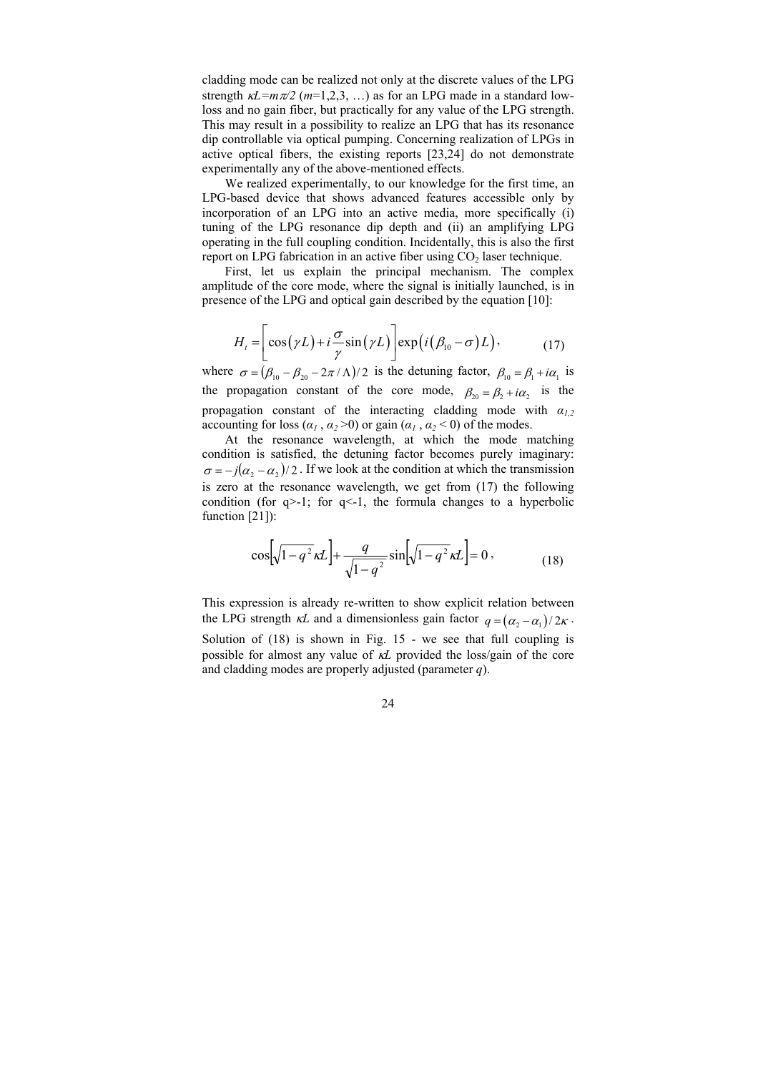cladding mode can be realized not only at the discrete values of the LPG strength  $\kappa L = m\pi/2$  ( $m=1,2,3,...$ ) as for an LPG made in a standard lowloss and no gain fiber, but practically for any value of the LPG strength. This may result in a possibility to realize an LPG that has its resonance dip controllable via optical pumping. Concerning realization of LPGs in active optical fibers, the existing reports [[23,24](#page-23-2)] do not demonstrate experimentally any of the above-mentioned effects.

We realized experimentally, to our knowledge for the first time, an LPG-based device that shows advanced features accessible only by incorporation of an LPG into an active media, more specifically (i) tuning of the LPG resonance dip depth and (ii) an amplifying LPG operating in the full coupling condition. Incidentally, this is also the first report on LPG fabrication in an active fiber using  $CO<sub>2</sub>$  laser technique.

First, let us explain the principal mechanism. The complex amplitude of the core mode, where the signal is initially launched, is in presence of the LPG and optical gain described by the equation [10]:

$$
H_{t} = \left[ \cos(\gamma L) + i \frac{\sigma}{\gamma} \sin(\gamma L) \right] \exp(i(\beta_{10} - \sigma) L), \tag{17}
$$

where  $\sigma = (\beta_{10} - \beta_{20} - 2\pi / \Lambda)/2$  is the detuning factor,  $\beta_{10} = \beta_1 + i\alpha_1$  is the propagation constant of the core mode,  $\beta_{20} = \beta_2 + i\alpha_2$  is the propagation constant of the interacting cladding mode with *α1,2* accounting for loss  $(a_1, a_2 > 0)$  or gain  $(a_1, a_2 < 0)$  of the modes.

At the resonance wavelength, at which the mode matching condition is satisfied, the detuning factor becomes purely imaginary:  $\sigma = -j(\alpha_2 - \alpha_2)/2$ . If we look at the condition at which the transmission is zero at the resonance wavelength, we get from (17) the following condition (for  $q>1$ ; for  $q<1$ , the formula changes to a hyperbolic function [[21\]](#page-23-2)):

$$
\cos\left[\sqrt{1-q^2}\kappa L\right] + \frac{q}{\sqrt{1-q^2}}\sin\left[\sqrt{1-q^2}\kappa L\right] = 0\,,\tag{18}
$$

This expression is already re-written to show explicit relation between the LPG strength  $\kappa L$  and a dimensionless gain factor  $q = (\alpha_2 - \alpha_1)/2\kappa$ . Solution of (18) is shown in Fig. 15 - we see that full coupling is possible for almost any value of κ*L* provided the loss/gain of the core and cladding modes are properly adjusted (parameter *q*).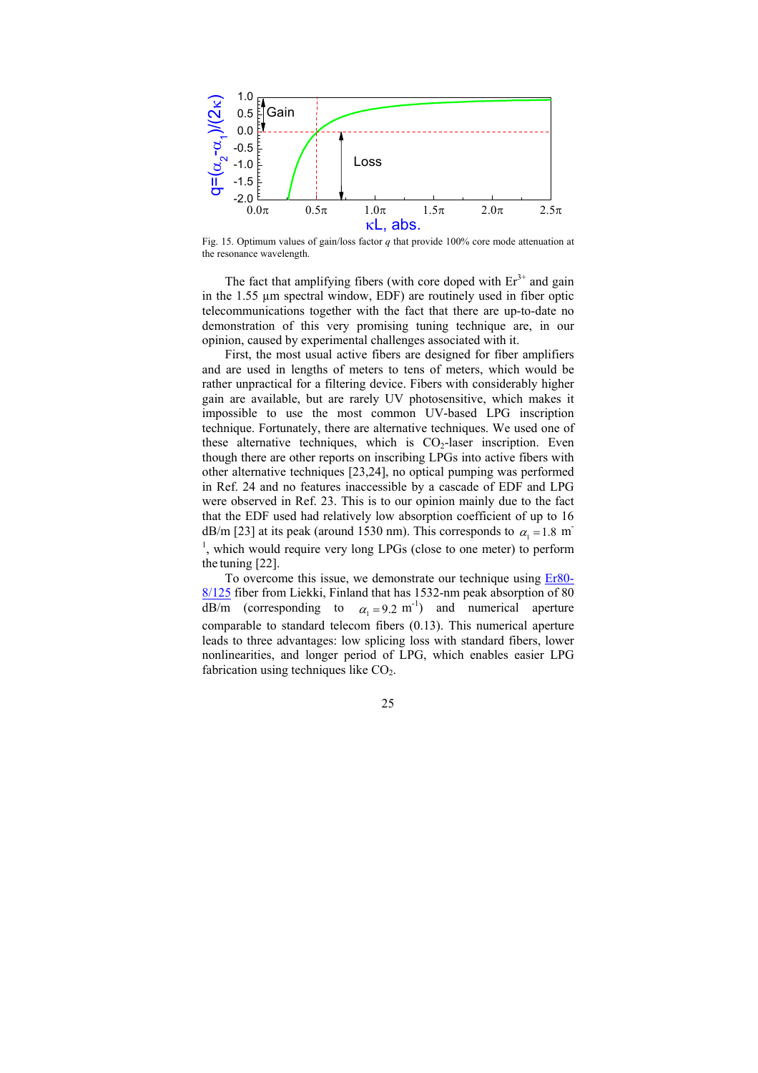

Fig. 15. Optimum values of gain/loss factor *q* that provide 100% core mode attenuation at the resonance wavelength.

The fact that amplifying fibers (with core doped with  $Er<sup>3+</sup>$  and gain in the 1.55 µm spectral window, EDF) are routinely used in fiber optic telecommunications together with the fact that there are up-to-date no demonstration of this very promising tuning technique are, in our opinion, caused by experimental challenges associated with it.

First, the most usual active fibers are designed for fiber amplifiers and are used in lengths of meters to tens of meters, which would be rather unpractical for a filtering device. Fibers with considerably higher gain are available, but are rarely UV photosensitive, which makes it impossible to use the most common UV-based LPG inscription technique. Fortunately, there are alternative techniques. We used one of these alternative techniques, which is  $CO<sub>2</sub>$ -laser inscription. Even though there are other reports on inscribing LPGs into active fibers with other alternative techniques [[23,24](#page-23-2)], no optical pumping was performed in Ref. [24](#page-23-2) and no features inaccessible by a cascade of EDF and LPG were observed in Ref. [23](#page-23-2). This is to our opinion mainly due to the fact that the EDF used had relatively low absorption coefficient of up to 16 dB/m [[23\]](#page-23-2) at its peak (around 1530 nm). This corresponds to  $\alpha_1 = 1.8$  m <sup>1</sup>, which would require very long LPGs (close to one meter) to perform the tuning [[22\]](#page-23-2).

To overcome this issue, we demonstrate our technique using **Er80**-[8/125](http://www.liekki.com/doc/Er80-8-125 Specification 050604.pdf) fiber from Liekki, Finland that has 1532-nm peak absorption of 80  $\overline{dB/m}$  (corresponding to  $\alpha_1 = 9.2$  m<sup>-1</sup>) and numerical aperture comparable to standard telecom fibers (0.13). This numerical aperture leads to three advantages: low splicing loss with standard fibers, lower nonlinearities, and longer period of LPG, which enables easier LPG fabrication using techniques like  $CO<sub>2</sub>$ .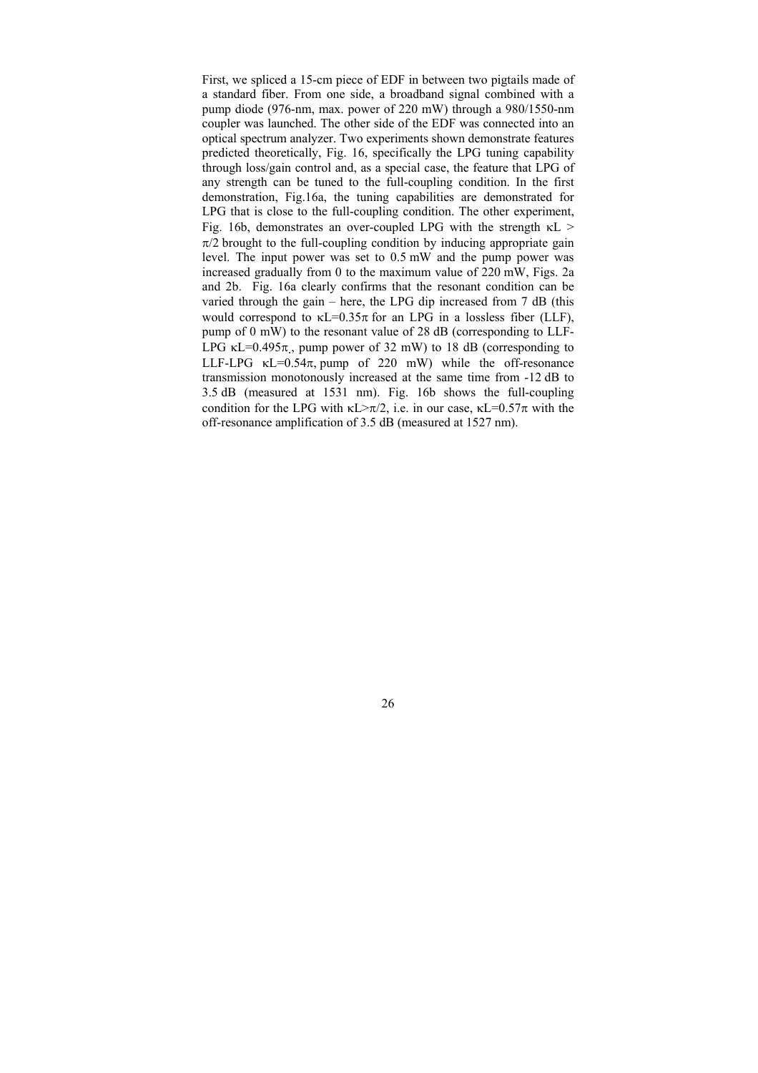First, we spliced a 15-cm piece of EDF in between two pigtails made of a standard fiber. From one side, a broadband signal combined with a pump diode (976-nm, max. power of 220 mW) through a 980/1550-nm coupler was launched. The other side of the EDF was connected into an optical spectrum analyzer. Two experiments shown demonstrate features predicted theoretically, Fig. 16, specifically the LPG tuning capability through loss/gain control and, as a special case, the feature that LPG of any strength can be tuned to the full-coupling condition. In the first demonstration, Fig.16a, the tuning capabilities are demonstrated for LPG that is close to the full-coupling condition. The other experiment, Fig. 16b, demonstrates an over-coupled LPG with the strength  $\kappa$ L >  $\pi/2$  brought to the full-coupling condition by inducing appropriate gain level. The input power was set to 0.5 mW and the pump power was increased gradually from 0 to the maximum value of 220 mW, Figs. 2a and 2b. Fig. 16a clearly confirms that the resonant condition can be varied through the gain – here, the LPG dip increased from 7 dB (this would correspond to  $\kappa$ L=0.35 $\pi$  for an LPG in a lossless fiber (LLF), pump of 0 mW) to the resonant value of 28 dB (corresponding to LLF-LPG  $\kappa$ L=0.495 $\pi$ , pump power of 32 mW) to 18 dB (corresponding to LLF-LPG  $\kappa$ L=0.54 $\pi$ , pump of 220 mW) while the off-resonance transmission monotonously increased at the same time from -12 dB to 3.5 dB (measured at 1531 nm). Fig. 16b shows the full-coupling condition for the LPG with  $\kappa L > \pi/2$ , i.e. in our case,  $\kappa L = 0.57\pi$  with the off-resonance amplification of 3.5 dB (measured at 1527 nm).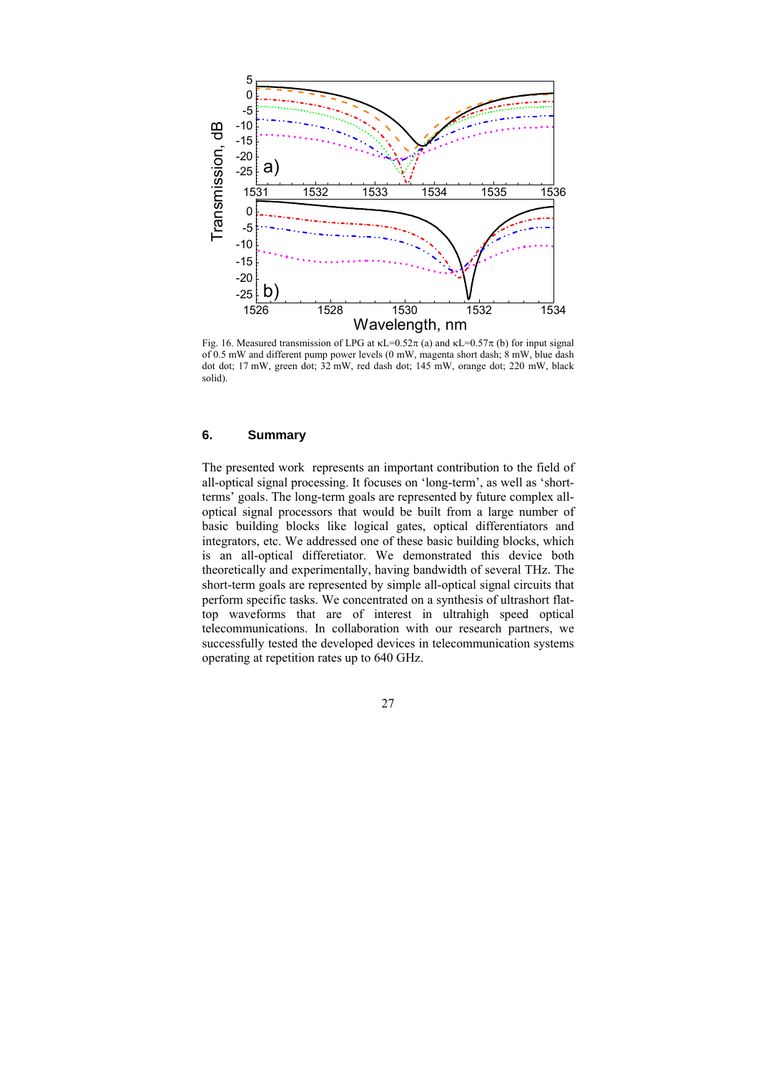<span id="page-27-0"></span>

Fig. 16. Measured transmission of LPG at  $\kappa$ L=0.52 $\pi$  (a) and  $\kappa$ L=0.57 $\pi$  (b) for input signal of 0.5 mW and different pump power levels (0 mW, magenta short dash; 8 mW, blue dash dot dot; 17 mW, green dot; 32 mW, red dash dot; 145 mW, orange dot; 220 mW, black solid).

## **6. Summary**

<span id="page-27-1"></span>The presented work represents an important contribution to the field of all-optical signal processing. It focuses on 'long-term', as well as 'shortterms' goals. The long-term goals are represented by future complex alloptical signal processors that would be built from a large number of basic building blocks like logical gates, optical differentiators and integrators, etc. We addressed one of these basic building blocks, which is an all-optical differetiator. We demonstrated this device both theoretically and experimentally, having bandwidth of several THz. The short-term goals are represented by simple all-optical signal circuits that perform specific tasks. We concentrated on a synthesis of ultrashort flattop waveforms that are of interest in ultrahigh speed optical telecommunications. In collaboration with our research partners, we successfully tested the developed devices in telecommunication systems operating at repetition rates up to 640 GHz.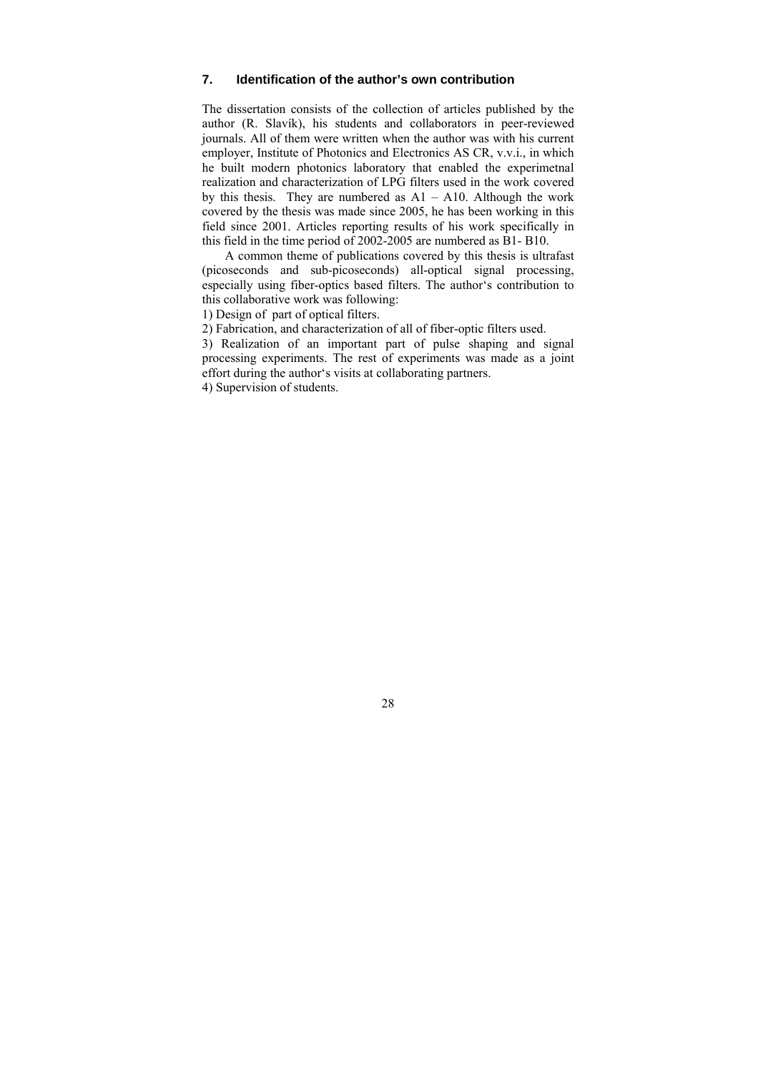### <span id="page-28-0"></span>**7. Identification of the author's own contribution**

The dissertation consists of the collection of articles published by the author (R. Slavík), his students and collaborators in peer-reviewed journals. All of them were written when the author was with his current employer, Institute of Photonics and Electronics AS CR, v.v.i., in which he built modern photonics laboratory that enabled the experimetnal realization and characterization of LPG filters used in the work covered by this thesis. They are numbered as  $A1 - A10$ . Although the work covered by the thesis was made since 2005, he has been working in this field since 2001. Articles reporting results of his work specifically in this field in the time period of 2002-2005 are numbered as B1- B10.

A common theme of publications covered by this thesis is ultrafast (picoseconds and sub-picoseconds) all-optical signal processing, especially using fiber-optics based filters. The author's contribution to this collaborative work was following:

1) Design of part of optical filters.

2) Fabrication, and characterization of all of fiber-optic filters used.

3) Realization of an important part of pulse shaping and signal processing experiments. The rest of experiments was made as a joint effort during the author's visits at collaborating partners.

<span id="page-28-1"></span>4) Supervision of students.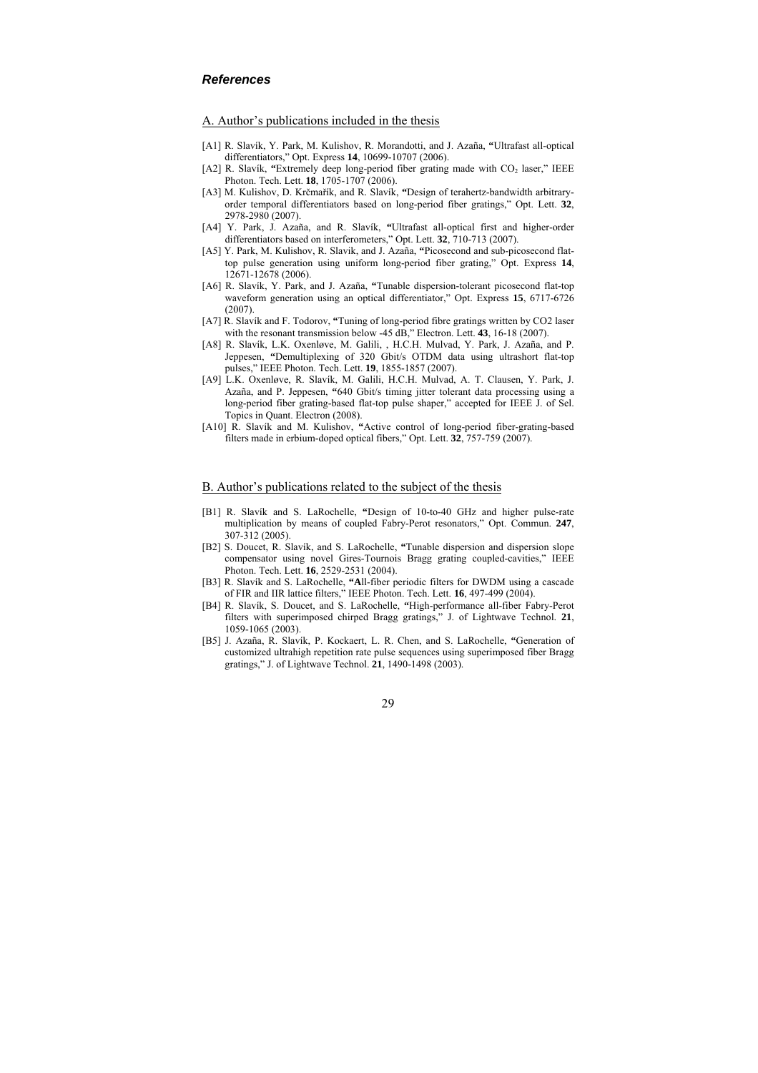#### <span id="page-29-0"></span>*References*

#### A. Author's publications included in the thesis

- [A1] R. Slavík, Y. Park, M. Kulishov, R. Morandotti, and J. Azaña, **"**Ultrafast all-optical differentiators," Opt. Express **14**, 10699-10707 (2006).
- [A2] R. Slavík, "Extremely deep long-period fiber grating made with CO<sub>2</sub> laser," IEEE Photon. Tech. Lett. **18**, 1705-1707 (2006).
- [A3] M. Kulishov, D. Krčmařík, and R. Slavík, **"**Design of terahertz-bandwidth arbitraryorder temporal differentiators based on long-period fiber gratings," Opt. Lett. **32**, 2978-2980 (2007).
- [A4] Y. Park, J. Azaña, and R. Slavík, **"**Ultrafast all-optical first and higher-order differentiators based on interferometers," Opt. Lett. **32**, 710-713 (2007).
- [A5] Y. Park, M. Kulishov, R. Slavik, and J. Azaña, **"**Picosecond and sub-picosecond flattop pulse generation using uniform long-period fiber grating," Opt. Express **14**, 12671-12678 (2006).
- [A6] R. Slavík, Y. Park, and J. Azaña, **"**Tunable dispersion-tolerant picosecond flat-top waveform generation using an optical differentiator," Opt. Express **15**, 6717-6726 (2007).
- [A7] R. Slavík and F. Todorov, **"**Tuning of long-period fibre gratings written by CO2 laser with the resonant transmission below -45 dB," Electron. Lett. **43**, 16-18 (2007).
- [A8] R. Slavík, L.K. Oxenløve, M. Galili, , H.C.H. Mulvad, Y. Park, J. Azaña, and P. Jeppesen, **"**Demultiplexing of 320 Gbit/s OTDM data using ultrashort flat-top pulses," IEEE Photon. Tech. Lett. **19**, 1855-1857 (2007).
- <span id="page-29-1"></span>[A9] L.K. Oxenløve, R. Slavík, M. Galili, H.C.H. Mulvad, A. T. Clausen, Y. Park, J. Azaña, and P. Jeppesen, **"**640 Gbit/s timing jitter tolerant data processing using a long-period fiber grating-based flat-top pulse shaper," accepted for IEEE J. of Sel. Topics in Quant. Electron (2008).
- [A10] R. Slavík and M. Kulishov, **"**Active control of long-period fiber-grating-based filters made in erbium-doped optical fibers," Opt. Lett. **32**, 757-759 (2007).

#### B. Author's publications related to the subject of the thesis

- [B1] R. Slavík and S. LaRochelle, **"**Design of 10-to-40 GHz and higher pulse-rate multiplication by means of coupled Fabry-Perot resonators," Opt. Commun. **247**, 307-312 (2005).
- [B2] S. Doucet, R. Slavík, and S. LaRochelle, **"**Tunable dispersion and dispersion slope compensator using novel Gires-Tournois Bragg grating coupled-cavities," IEEE Photon. Tech. Lett. **16**, 2529-2531 (2004).
- [B3] R. Slavík and S. LaRochelle, **"A**ll-fiber periodic filters for DWDM using a cascade of FIR and IIR lattice filters," IEEE Photon. Tech. Lett. **16**, 497-499 (2004).
- [B4] R. Slavík, S. Doucet, and S. LaRochelle, **"**High-performance all-fiber Fabry-Perot filters with superimposed chirped Bragg gratings," J. of Lightwave Technol. **21**, 1059-1065 (2003).
- [B5] J. Azaña, R. Slavík, P. Kockaert, L. R. Chen, and S. LaRochelle, **"**Generation of customized ultrahigh repetition rate pulse sequences using superimposed fiber Bragg gratings," J. of Lightwave Technol. **21**, 1490-1498 (2003).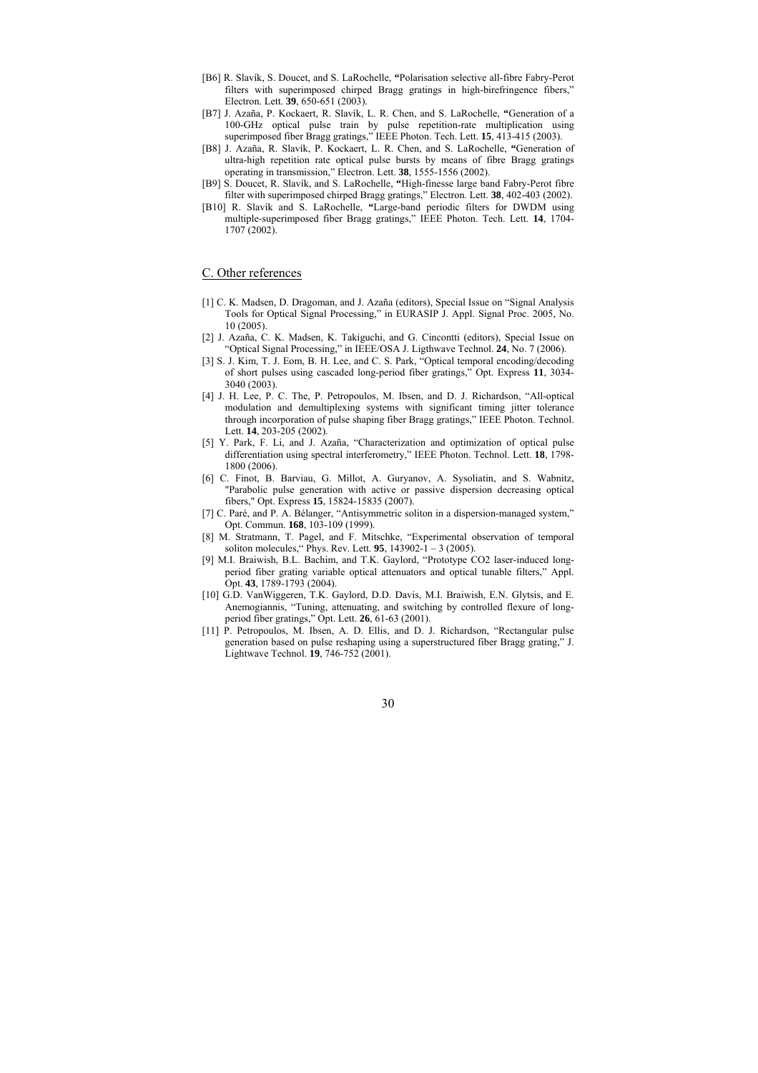- [B6] R. Slavík, S. Doucet, and S. LaRochelle, **"**Polarisation selective all-fibre Fabry-Perot filters with superimposed chirped Bragg gratings in high-birefringence fibers," Electron. Lett. **39**, 650-651 (2003).
- [B7] J. Azaña, P. Kockaert, R. Slavík, L. R. Chen, and S. LaRochelle, **"**Generation of a 100-GHz optical pulse train by pulse repetition-rate multiplication using superimposed fiber Bragg gratings," IEEE Photon. Tech. Lett. **15**, 413-415 (2003).
- [B8] J. Azaña, R. Slavík, P. Kockaert, L. R. Chen, and S. LaRochelle, **"**Generation of ultra-high repetition rate optical pulse bursts by means of fibre Bragg gratings operating in transmission," Electron. Lett. **38**, 1555-1556 (2002).
- [B9] S. Doucet, R. Slavík, and S. LaRochelle, **"**High-finesse large band Fabry-Perot fibre filter with superimposed chirped Bragg gratings," Electron. Lett. **38**, 402-403 (2002).
- [B10] R. Slavík and S. LaRochelle, **"**Large-band periodic filters for DWDM using multiple-superimposed fiber Bragg gratings," IEEE Photon. Tech. Lett. **14**, 1704- 1707 (2002).

#### C. Other references

- [1] C. K. Madsen, D. Dragoman, and J. Azaña (editors), Special Issue on "Signal Analysis Tools for Optical Signal Processing," in EURASIP J. Appl. Signal Proc. 2005, No. 10 (2005).
- [2] J. Azaña, C. K. Madsen, K. Takiguchi, and G. Cincontti (editors), Special Issue on "Optical Signal Processing," in IEEE/OSA J. Ligthwave Technol. **24**, No. 7 (2006).
- [3] S. J. Kim, T. J. Eom, B. H. Lee, and C. S. Park, "Optical temporal encoding/decoding of short pulses using cascaded long-period fiber gratings," Opt. Express **11**, 3034- 3040 (2003).
- [4] J. H. Lee, P. C. The, P. Petropoulos, M. Ibsen, and D. J. Richardson, "All-optical modulation and demultiplexing systems with significant timing jitter tolerance through incorporation of pulse shaping fiber Bragg gratings," IEEE Photon. Technol. Lett. **14**, 203-205 (2002).
- [5] Y. Park, F. Li, and J. Azaña, "Characterization and optimization of optical pulse differentiation using spectral interferometry," IEEE Photon. Technol. Lett. **18**, 1798- 1800 (2006).
- [6] C. Finot, B. Barviau, G. Millot, A. Guryanov, A. Sysoliatin, and S. Wabnitz, "Parabolic pulse generation with active or passive dispersion decreasing optical fibers," Opt. Express **15**, 15824-15835 (2007).
- [7] C. Paré, and P. A. Bélanger, "Antisymmetric soliton in a dispersion-managed system," Opt. Commun. **168**, 103-109 (1999).
- [8] M. Stratmann, T. Pagel, and F. Mitschke, "Experimental observation of temporal soliton molecules," Phys. Rev. Lett. **95**, 143902-1 – 3 (2005).
- [9] M.I. Braiwish, B.L. Bachim, and T.K. Gaylord, "Prototype CO2 laser-induced longperiod fiber grating variable optical attenuators and optical tunable filters," Appl. Opt. **43**, 1789-1793 (2004).
- [10] G.D. VanWiggeren, T.K. Gaylord, D.D. Davis, M.I. Braiwish, E.N. Glytsis, and E. Anemogiannis, "Tuning, attenuating, and switching by controlled flexure of longperiod fiber gratings," Opt. Lett. **26**, 61-63 (2001).
- [11] P. Petropoulos, M. Ibsen, A. D. Ellis, and D. J. Richardson, "Rectangular pulse generation based on pulse reshaping using a superstructured fiber Bragg grating," J. Lightwave Technol. **19**, 746-752 (2001).